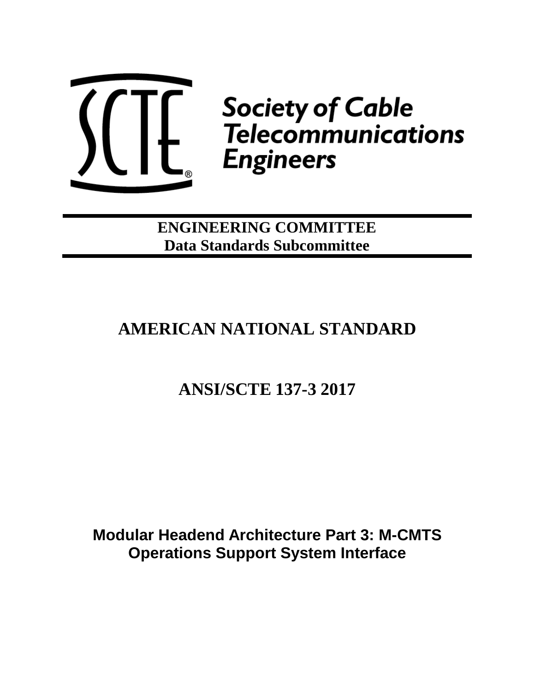

**Society of Cable<br>Telecommunications Engineers** 

**ENGINEERING COMMITTEE Data Standards Subcommittee**

# **AMERICAN NATIONAL STANDARD**

# **ANSI/SCTE 137-3 2017**

**Modular Headend Architecture Part 3: M-CMTS Operations Support System Interface**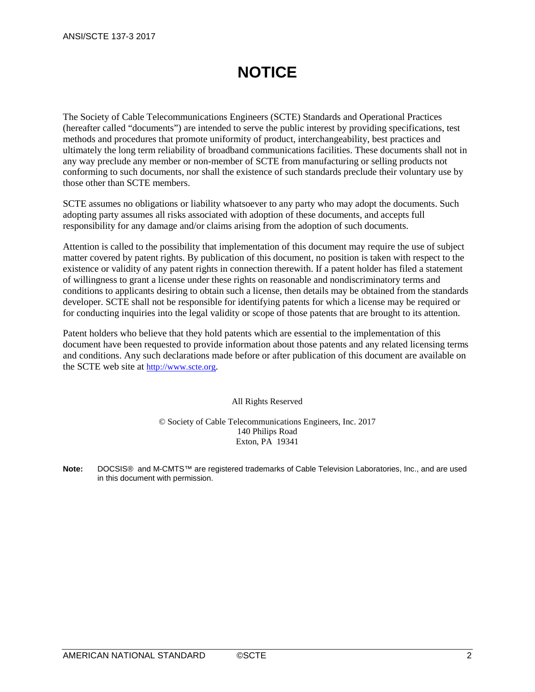# **NOTICE**

The Society of Cable Telecommunications Engineers (SCTE) Standards and Operational Practices (hereafter called "documents") are intended to serve the public interest by providing specifications, test methods and procedures that promote uniformity of product, interchangeability, best practices and ultimately the long term reliability of broadband communications facilities. These documents shall not in any way preclude any member or non-member of SCTE from manufacturing or selling products not conforming to such documents, nor shall the existence of such standards preclude their voluntary use by those other than SCTE members.

SCTE assumes no obligations or liability whatsoever to any party who may adopt the documents. Such adopting party assumes all risks associated with adoption of these documents, and accepts full responsibility for any damage and/or claims arising from the adoption of such documents.

Attention is called to the possibility that implementation of this document may require the use of subject matter covered by patent rights. By publication of this document, no position is taken with respect to the existence or validity of any patent rights in connection therewith. If a patent holder has filed a statement of willingness to grant a license under these rights on reasonable and nondiscriminatory terms and conditions to applicants desiring to obtain such a license, then details may be obtained from the standards developer. SCTE shall not be responsible for identifying patents for which a license may be required or for conducting inquiries into the legal validity or scope of those patents that are brought to its attention.

Patent holders who believe that they hold patents which are essential to the implementation of this document have been requested to provide information about those patents and any related licensing terms and conditions. Any such declarations made before or after publication of this document are available on the SCTE web site at [http://www.scte.org.](http://www.scte.org/)

All Rights Reserved

© Society of Cable Telecommunications Engineers, Inc. 2017 140 Philips Road Exton, PA 19341

**Note:** DOCSIS® and M-CMTS™ are registered trademarks of Cable Television Laboratories, Inc., and are used in this document with permission.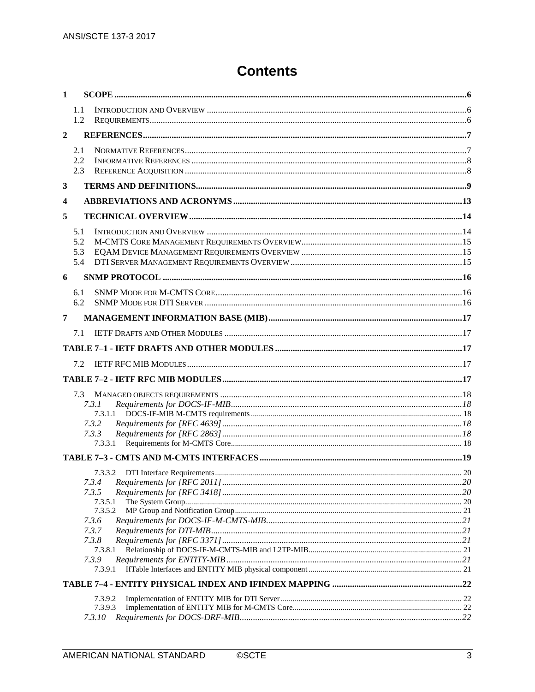# **Contents**

| $\mathbf{1}$   |     |                |  |
|----------------|-----|----------------|--|
|                | 1.1 |                |  |
|                | 1.2 |                |  |
| $\overline{2}$ |     |                |  |
|                | 2.1 |                |  |
|                | 2.2 |                |  |
|                | 2.3 |                |  |
| 3              |     |                |  |
| 4              |     |                |  |
|                |     |                |  |
| 5              |     |                |  |
|                | 5.1 |                |  |
|                | 5.2 |                |  |
|                | 5.3 |                |  |
|                | 5.4 |                |  |
| 6              |     |                |  |
|                | 6.1 |                |  |
|                | 6.2 |                |  |
| 7              |     |                |  |
|                |     |                |  |
|                | 7.1 |                |  |
|                |     |                |  |
|                | 7.2 |                |  |
|                |     |                |  |
|                | 7.3 |                |  |
|                |     | 7.3.1          |  |
|                |     | 7.3.1.1        |  |
|                |     | 7.3.2          |  |
|                |     | 7.3.3          |  |
|                |     | 7.3.3.1        |  |
|                |     |                |  |
|                |     |                |  |
|                |     | 7.3.4          |  |
|                |     | 7.3.5          |  |
|                |     | 7.3.5.1        |  |
|                |     | 7.3.5.2        |  |
|                |     | 7.3.6          |  |
|                |     | 7.3.7<br>7.3.8 |  |
|                |     | 7.3.8.1        |  |
|                |     | 7.3.9          |  |
|                |     | 7.3.9.1        |  |
|                |     |                |  |
|                |     | 7.3.9.2        |  |
|                |     | 7.3.9.3        |  |
|                |     | 7.3.10         |  |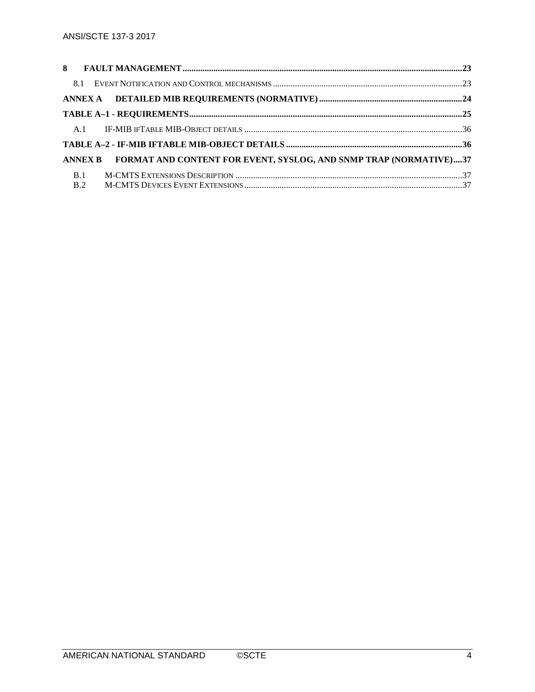|            | ANNEX B FORMAT AND CONTENT FOR EVENT, SYSLOG, AND SNMP TRAP (NORMATIVE)37 |  |
|------------|---------------------------------------------------------------------------|--|
| <b>B.1</b> |                                                                           |  |
| <b>B.2</b> |                                                                           |  |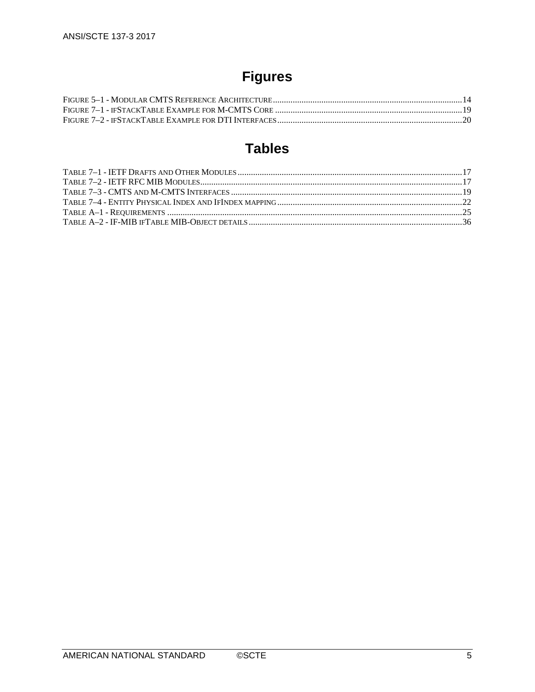# **Figures**

# **Tables**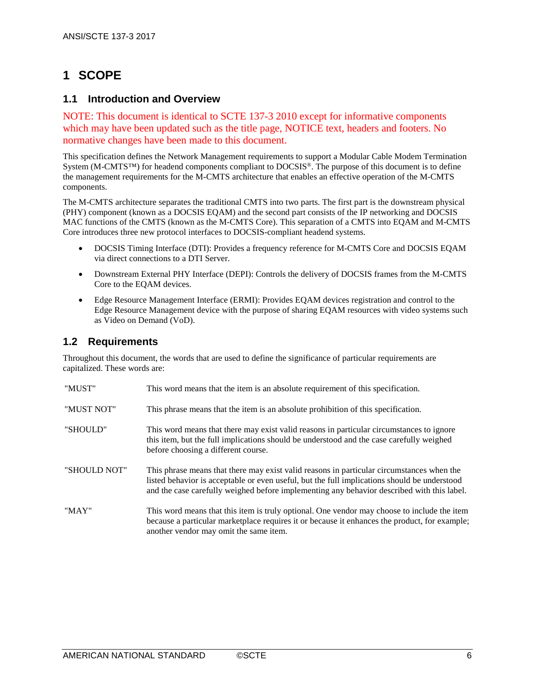# <span id="page-5-0"></span>**1 SCOPE**

### <span id="page-5-1"></span>**1.1 Introduction and Overview**

NOTE: This document is identical to SCTE 137-3 2010 except for informative components which may have been updated such as the title page, NOTICE text, headers and footers. No normative changes have been made to this document.

This specification defines the Network Management requirements to support a Modular Cable Modem Termination System (M-CMTS™) for headend components compliant to DOCSIS®. The purpose of this document is to define the management requirements for the M-CMTS architecture that enables an effective operation of the M-CMTS components.

The M-CMTS architecture separates the traditional CMTS into two parts. The first part is the downstream physical (PHY) component (known as a DOCSIS EQAM) and the second part consists of the IP networking and DOCSIS MAC functions of the CMTS (known as the M-CMTS Core). This separation of a CMTS into EQAM and M-CMTS Core introduces three new protocol interfaces to DOCSIS-compliant headend systems.

- DOCSIS Timing Interface (DTI): Provides a frequency reference for M-CMTS Core and DOCSIS EQAM via direct connections to a DTI Server.
- Downstream External PHY Interface (DEPI): Controls the delivery of DOCSIS frames from the M-CMTS Core to the EQAM devices.
- Edge Resource Management Interface (ERMI): Provides EOAM devices registration and control to the Edge Resource Management device with the purpose of sharing EQAM resources with video systems such as Video on Demand (VoD).

## <span id="page-5-2"></span>**1.2 Requirements**

Throughout this document, the words that are used to define the significance of particular requirements are capitalized. These words are:

| "MUST"       | This word means that the item is an absolute requirement of this specification.                                                                                                                                                                                                         |
|--------------|-----------------------------------------------------------------------------------------------------------------------------------------------------------------------------------------------------------------------------------------------------------------------------------------|
| "MUST NOT"   | This phrase means that the item is an absolute prohibition of this specification.                                                                                                                                                                                                       |
| "SHOULD"     | This word means that there may exist valid reasons in particular circumstances to ignore<br>this item, but the full implications should be understood and the case carefully weighed<br>before choosing a different course.                                                             |
| "SHOULD NOT" | This phrase means that there may exist valid reasons in particular circumstances when the<br>listed behavior is acceptable or even useful, but the full implications should be understood<br>and the case carefully weighed before implementing any behavior described with this label. |
| "MAY"        | This word means that this item is truly optional. One vendor may choose to include the item<br>because a particular marketplace requires it or because it enhances the product, for example;<br>another vendor may omit the same item.                                                  |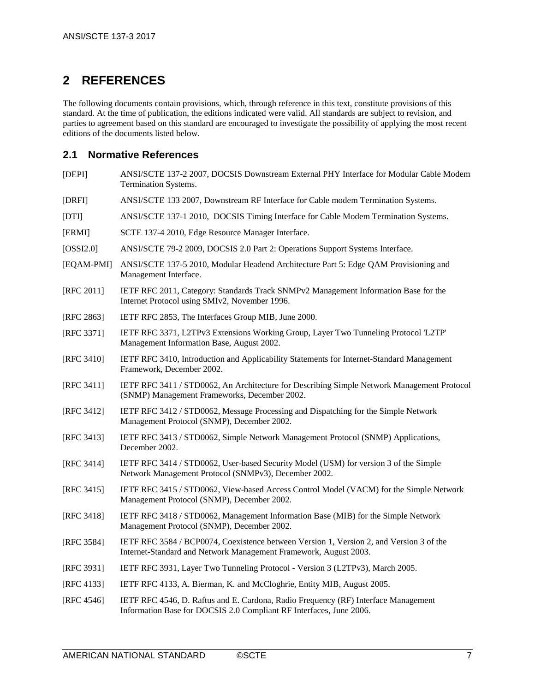## <span id="page-6-0"></span>**2 REFERENCES**

The following documents contain provisions, which, through reference in this text, constitute provisions of this standard. At the time of publication, the editions indicated were valid. All standards are subject to revision, and parties to agreement based on this standard are encouraged to investigate the possibility of applying the most recent editions of the documents listed below.

### <span id="page-6-1"></span>**2.1 Normative References**

- <span id="page-6-2"></span>[DEPI] ANSI/SCTE 137-2 2007, DOCSIS Downstream External PHY Interface for Modular Cable Modem Termination Systems.
- <span id="page-6-3"></span>[DRFI] ANSI/SCTE 133 2007, Downstream RF Interface for Cable modem Termination Systems.
- <span id="page-6-5"></span>[DTI] ANSI/SCTE 137-1 2010, DOCSIS Timing Interface for Cable Modem Termination Systems.
- <span id="page-6-20"></span>[ERMI] SCTE 137-4 2010, Edge Resource Manager Interface.
- <span id="page-6-4"></span>[OSSI2.0] ANSI/SCTE 79-2 2009, DOCSIS 2.0 Part 2: Operations Support Systems Interface.
- <span id="page-6-6"></span>[EQAM-PMI] ANSI/SCTE 137-5 2010, Modular Headend Architecture Part 5: Edge QAM Provisioning and Management Interface.
- <span id="page-6-10"></span>[RFC 2011] IETF RFC 2011, Category: Standards Track SNMPv2 Management Information Base for the Internet Protocol using SMIv2, November 1996.
- <span id="page-6-11"></span>[RFC 2863] IETF RFC 2853, The Interfaces Group MIB, June 2000.
- <span id="page-6-12"></span>[RFC 3371] IETF RFC 3371, L2TPv3 Extensions Working Group, Layer Two Tunneling Protocol 'L2TP' Management Information Base, August 2002.
- <span id="page-6-13"></span>[RFC 3410] IETF RFC 3410, Introduction and Applicability Statements for Internet-Standard Management Framework, December 2002.
- <span id="page-6-7"></span>[RFC 3411] IETF RFC 3411 / STD0062, An Architecture for Describing Simple Network Management Protocol (SNMP) Management Frameworks, December 2002.
- <span id="page-6-14"></span>[RFC 3412] IETF RFC 3412 / STD0062, Message Processing and Dispatching for the Simple Network Management Protocol (SNMP), December 2002.
- <span id="page-6-15"></span>[RFC 3413] IETF RFC 3413 / STD0062, Simple Network Management Protocol (SNMP) Applications, December 2002.
- <span id="page-6-16"></span>[RFC 3414] IETF RFC 3414 / STD0062, User-based Security Model (USM) for version 3 of the Simple Network Management Protocol (SNMPv3), December 2002.
- <span id="page-6-8"></span>[RFC 3415] IETF RFC 3415 / STD0062, View-based Access Control Model (VACM) for the Simple Network Management Protocol (SNMP), December 2002.
- <span id="page-6-17"></span>[RFC 3418] IETF RFC 3418 / STD0062, Management Information Base (MIB) for the Simple Network Management Protocol (SNMP), December 2002.
- <span id="page-6-9"></span>[RFC 3584] IETF RFC 3584 / BCP0074, Coexistence between Version 1, Version 2, and Version 3 of the Internet-Standard and Network Management Framework, August 2003.
- <span id="page-6-19"></span>[RFC 3931] IETF RFC 3931, Layer Two Tunneling Protocol - Version 3 (L2TPv3), March 2005.
- <span id="page-6-18"></span>[RFC 4133] IETF RFC 4133, A. Bierman, K. and McCloghrie, Entity MIB, August 2005.
- <span id="page-6-21"></span>[RFC 4546] IETF RFC 4546, D. Raftus and E. Cardona, Radio Frequency (RF) Interface Management Information Base for DOCSIS 2.0 Compliant RF Interfaces, June 2006.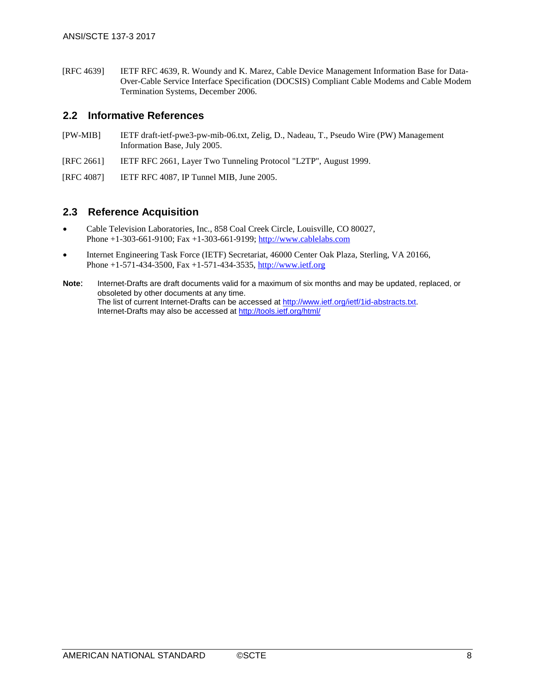<span id="page-7-2"></span>[RFC 4639] IETF RFC 4639, R. Woundy and K. Marez, Cable Device Management Information Base for Data-Over-Cable Service Interface Specification (DOCSIS) Compliant Cable Modems and Cable Modem Termination Systems, December 2006.

### <span id="page-7-0"></span>**2.2 Informative References**

- <span id="page-7-3"></span>[PW-MIB] IETF draft-ietf-pwe3-pw-mib-06.txt, Zelig, D., Nadeau, T., Pseudo Wire (PW) Management Information Base, July 2005.
- <span id="page-7-5"></span>[RFC 2661] IETF RFC 2661, Layer Two Tunneling Protocol "L2TP", August 1999.
- <span id="page-7-4"></span>[RFC 4087] IETF RFC 4087, IP Tunnel MIB, June 2005.

### <span id="page-7-1"></span>**2.3 Reference Acquisition**

- Cable Television Laboratories, Inc., 858 Coal Creek Circle, Louisville, CO 80027, Phone +1-303-661-9100; Fax +1-303-661-9199; [http://www.cablelabs.com](http://www.cablelabs.com/)
- Internet Engineering Task Force (IETF) Secretariat, 46000 Center Oak Plaza, Sterling, VA 20166, Phone +1-571-434-3500, Fax +1-571-434-3535, [http://www.ietf.org](http://www.ietf.org/)
- **Note**: Internet-Drafts are draft documents valid for a maximum of six months and may be updated, replaced, or obsoleted by other documents at any time. The list of current Internet-Drafts can be accessed a[t http://www.ietf.org/ietf/1id-abstracts.txt.](http://www.ietf.org/ietf/1id-abstracts.txt)  Internet-Drafts may also be accessed at<http://tools.ietf.org/html/>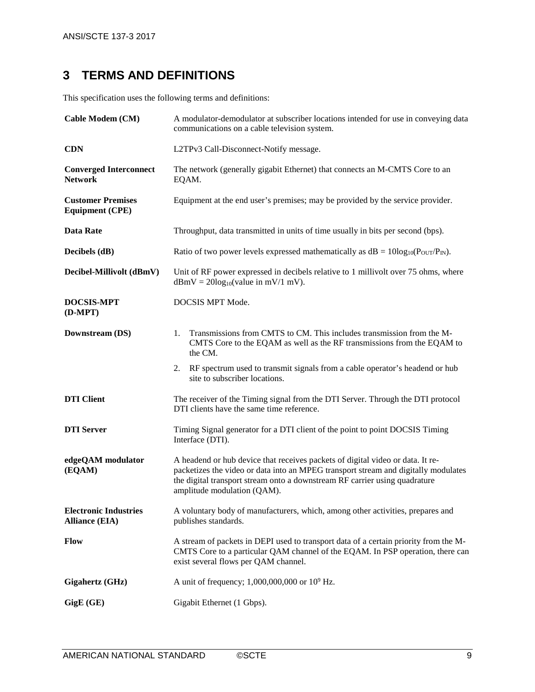# <span id="page-8-0"></span>**3 TERMS AND DEFINITIONS**

This specification uses the following terms and definitions:

| <b>Cable Modem (CM)</b>                               | A modulator-demodulator at subscriber locations intended for use in conveying data<br>communications on a cable television system.                                                                                                                                                |  |  |
|-------------------------------------------------------|-----------------------------------------------------------------------------------------------------------------------------------------------------------------------------------------------------------------------------------------------------------------------------------|--|--|
| <b>CDN</b>                                            | L2TPv3 Call-Disconnect-Notify message.                                                                                                                                                                                                                                            |  |  |
| <b>Converged Interconnect</b><br><b>Network</b>       | The network (generally gigabit Ethernet) that connects an M-CMTS Core to an<br>EQAM.                                                                                                                                                                                              |  |  |
| <b>Customer Premises</b><br><b>Equipment (CPE)</b>    | Equipment at the end user's premises; may be provided by the service provider.                                                                                                                                                                                                    |  |  |
| <b>Data Rate</b>                                      | Throughput, data transmitted in units of time usually in bits per second (bps).                                                                                                                                                                                                   |  |  |
| Decibels (dB)                                         | Ratio of two power levels expressed mathematically as $dB = 10\log_{10}(P_{OUT}/P_{IN})$ .                                                                                                                                                                                        |  |  |
| Decibel-Millivolt (dBmV)                              | Unit of RF power expressed in decibels relative to 1 millivolt over 75 ohms, where<br>$dBmV = 20log_{10}(value in mV/1 mV).$                                                                                                                                                      |  |  |
| <b>DOCSIS-MPT</b><br>$(D-MPT)$                        | DOCSIS MPT Mode.                                                                                                                                                                                                                                                                  |  |  |
| Downstream (DS)                                       | Transmissions from CMTS to CM. This includes transmission from the M-<br>1.<br>CMTS Core to the EQAM as well as the RF transmissions from the EQAM to<br>the CM.                                                                                                                  |  |  |
|                                                       | RF spectrum used to transmit signals from a cable operator's headend or hub<br>2.<br>site to subscriber locations.                                                                                                                                                                |  |  |
| <b>DTI</b> Client                                     | The receiver of the Timing signal from the DTI Server. Through the DTI protocol<br>DTI clients have the same time reference.                                                                                                                                                      |  |  |
| <b>DTI</b> Server                                     | Timing Signal generator for a DTI client of the point to point DOCSIS Timing<br>Interface (DTI).                                                                                                                                                                                  |  |  |
| edgeQAM modulator<br>(EQAM)                           | A headend or hub device that receives packets of digital video or data. It re-<br>packetizes the video or data into an MPEG transport stream and digitally modulates<br>the digital transport stream onto a downstream RF carrier using quadrature<br>amplitude modulation (QAM). |  |  |
| <b>Electronic Industries</b><br><b>Alliance (EIA)</b> | A voluntary body of manufacturers, which, among other activities, prepares and<br>publishes standards.                                                                                                                                                                            |  |  |
| Flow                                                  | A stream of packets in DEPI used to transport data of a certain priority from the M-<br>CMTS Core to a particular QAM channel of the EQAM. In PSP operation, there can<br>exist several flows per QAM channel.                                                                    |  |  |
| Gigahertz (GHz)                                       | A unit of frequency; 1,000,000,000 or $10^9$ Hz.                                                                                                                                                                                                                                  |  |  |
| GigE (GE)                                             | Gigabit Ethernet (1 Gbps).                                                                                                                                                                                                                                                        |  |  |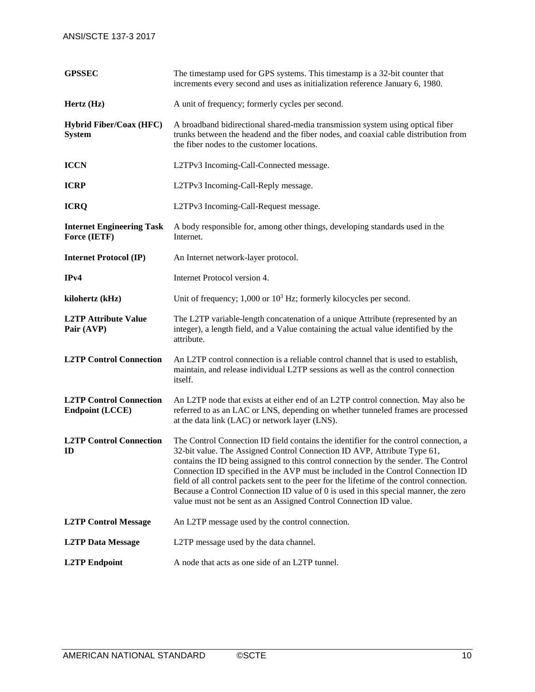| <b>GPSSEC</b>                                            | The timestamp used for GPS systems. This timestamp is a 32-bit counter that<br>increments every second and uses as initialization reference January 6, 1980.                                                                                                                                                                                                                                                                                                                                                                                                                                            |  |
|----------------------------------------------------------|---------------------------------------------------------------------------------------------------------------------------------------------------------------------------------------------------------------------------------------------------------------------------------------------------------------------------------------------------------------------------------------------------------------------------------------------------------------------------------------------------------------------------------------------------------------------------------------------------------|--|
| Hertz (Hz)                                               | A unit of frequency; formerly cycles per second.                                                                                                                                                                                                                                                                                                                                                                                                                                                                                                                                                        |  |
| <b>Hybrid Fiber/Coax (HFC)</b><br><b>System</b>          | A broadband bidirectional shared-media transmission system using optical fiber<br>trunks between the headend and the fiber nodes, and coaxial cable distribution from<br>the fiber nodes to the customer locations.                                                                                                                                                                                                                                                                                                                                                                                     |  |
| <b>ICCN</b>                                              | L2TPv3 Incoming-Call-Connected message.                                                                                                                                                                                                                                                                                                                                                                                                                                                                                                                                                                 |  |
| <b>ICRP</b>                                              | L2TPv3 Incoming-Call-Reply message.                                                                                                                                                                                                                                                                                                                                                                                                                                                                                                                                                                     |  |
| <b>ICRQ</b>                                              | L2TPv3 Incoming-Call-Request message.                                                                                                                                                                                                                                                                                                                                                                                                                                                                                                                                                                   |  |
| <b>Internet Engineering Task</b><br>Force (IETF)         | A body responsible for, among other things, developing standards used in the<br>Internet.                                                                                                                                                                                                                                                                                                                                                                                                                                                                                                               |  |
| <b>Internet Protocol (IP)</b>                            | An Internet network-layer protocol.                                                                                                                                                                                                                                                                                                                                                                                                                                                                                                                                                                     |  |
| IPv4                                                     | Internet Protocol version 4.                                                                                                                                                                                                                                                                                                                                                                                                                                                                                                                                                                            |  |
| kilohertz (kHz)                                          | Unit of frequency; $1,000$ or $103$ Hz; formerly kilocycles per second.                                                                                                                                                                                                                                                                                                                                                                                                                                                                                                                                 |  |
| <b>L2TP Attribute Value</b><br>Pair (AVP)                | The L2TP variable-length concatenation of a unique Attribute (represented by an<br>integer), a length field, and a Value containing the actual value identified by the<br>attribute.                                                                                                                                                                                                                                                                                                                                                                                                                    |  |
| <b>L2TP Control Connection</b>                           | An L2TP control connection is a reliable control channel that is used to establish,<br>maintain, and release individual L2TP sessions as well as the control connection<br>itself.                                                                                                                                                                                                                                                                                                                                                                                                                      |  |
| <b>L2TP Control Connection</b><br><b>Endpoint (LCCE)</b> | An L2TP node that exists at either end of an L2TP control connection. May also be<br>referred to as an LAC or LNS, depending on whether tunneled frames are processed<br>at the data link (LAC) or network layer (LNS).                                                                                                                                                                                                                                                                                                                                                                                 |  |
| <b>L2TP Control Connection</b><br>$\mathbf{D}$           | The Control Connection ID field contains the identifier for the control connection, a<br>32-bit value. The Assigned Control Connection ID AVP, Attribute Type 61,<br>contains the ID being assigned to this control connection by the sender. The Control<br>Connection ID specified in the AVP must be included in the Control Connection ID<br>field of all control packets sent to the peer for the lifetime of the control connection.<br>Because a Control Connection ID value of 0 is used in this special manner, the zero<br>value must not be sent as an Assigned Control Connection ID value. |  |
| <b>L2TP Control Message</b>                              | An L2TP message used by the control connection.                                                                                                                                                                                                                                                                                                                                                                                                                                                                                                                                                         |  |
| <b>L2TP Data Message</b>                                 | L2TP message used by the data channel.                                                                                                                                                                                                                                                                                                                                                                                                                                                                                                                                                                  |  |
| <b>L2TP</b> Endpoint                                     | A node that acts as one side of an L2TP tunnel.                                                                                                                                                                                                                                                                                                                                                                                                                                                                                                                                                         |  |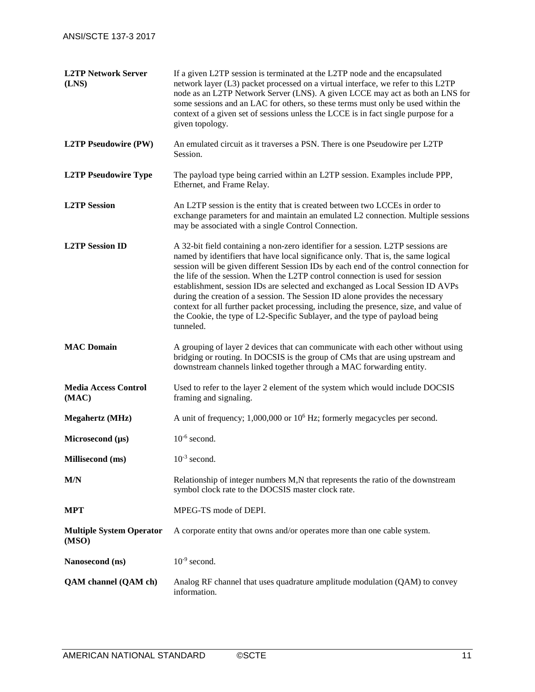| <b>L2TP Network Server</b><br>(LNS)  | If a given L2TP session is terminated at the L2TP node and the encapsulated<br>network layer (L3) packet processed on a virtual interface, we refer to this L2TP<br>node as an L2TP Network Server (LNS). A given LCCE may act as both an LNS for<br>some sessions and an LAC for others, so these terms must only be used within the<br>context of a given set of sessions unless the LCCE is in fact single purpose for a<br>given topology.                                                                                                                                                                                                                                                          |  |
|--------------------------------------|---------------------------------------------------------------------------------------------------------------------------------------------------------------------------------------------------------------------------------------------------------------------------------------------------------------------------------------------------------------------------------------------------------------------------------------------------------------------------------------------------------------------------------------------------------------------------------------------------------------------------------------------------------------------------------------------------------|--|
| <b>L2TP Pseudowire (PW)</b>          | An emulated circuit as it traverses a PSN. There is one Pseudowire per L2TP<br>Session.                                                                                                                                                                                                                                                                                                                                                                                                                                                                                                                                                                                                                 |  |
| <b>L2TP Pseudowire Type</b>          | The payload type being carried within an L2TP session. Examples include PPP,<br>Ethernet, and Frame Relay.                                                                                                                                                                                                                                                                                                                                                                                                                                                                                                                                                                                              |  |
| <b>L2TP</b> Session                  | An L2TP session is the entity that is created between two LCCEs in order to<br>exchange parameters for and maintain an emulated L2 connection. Multiple sessions<br>may be associated with a single Control Connection.                                                                                                                                                                                                                                                                                                                                                                                                                                                                                 |  |
| <b>L2TP</b> Session ID               | A 32-bit field containing a non-zero identifier for a session. L2TP sessions are<br>named by identifiers that have local significance only. That is, the same logical<br>session will be given different Session IDs by each end of the control connection for<br>the life of the session. When the L2TP control connection is used for session<br>establishment, session IDs are selected and exchanged as Local Session ID AVPs<br>during the creation of a session. The Session ID alone provides the necessary<br>context for all further packet processing, including the presence, size, and value of<br>the Cookie, the type of L2-Specific Sublayer, and the type of payload being<br>tunneled. |  |
| <b>MAC Domain</b>                    | A grouping of layer 2 devices that can communicate with each other without using<br>bridging or routing. In DOCSIS is the group of CMs that are using upstream and<br>downstream channels linked together through a MAC forwarding entity.                                                                                                                                                                                                                                                                                                                                                                                                                                                              |  |
| <b>Media Access Control</b><br>(MAC) | Used to refer to the layer 2 element of the system which would include DOCSIS<br>framing and signaling.                                                                                                                                                                                                                                                                                                                                                                                                                                                                                                                                                                                                 |  |
| <b>Megahertz</b> (MHz)               | A unit of frequency; $1,000,000$ or $106$ Hz; formerly megacycles per second.                                                                                                                                                                                                                                                                                                                                                                                                                                                                                                                                                                                                                           |  |
| Microsecond $(\mu s)$                | $10^{-6}$ second.                                                                                                                                                                                                                                                                                                                                                                                                                                                                                                                                                                                                                                                                                       |  |
| <b>Millisecond</b> (ms)              | $10^{-3}$ second.                                                                                                                                                                                                                                                                                                                                                                                                                                                                                                                                                                                                                                                                                       |  |
| M/N                                  | Relationship of integer numbers M,N that represents the ratio of the downstream<br>symbol clock rate to the DOCSIS master clock rate.                                                                                                                                                                                                                                                                                                                                                                                                                                                                                                                                                                   |  |
| <b>MPT</b>                           | MPEG-TS mode of DEPI.                                                                                                                                                                                                                                                                                                                                                                                                                                                                                                                                                                                                                                                                                   |  |
| <b>Multiple System Operator</b>      |                                                                                                                                                                                                                                                                                                                                                                                                                                                                                                                                                                                                                                                                                                         |  |
| (MSO)                                | A corporate entity that owns and/or operates more than one cable system.                                                                                                                                                                                                                                                                                                                                                                                                                                                                                                                                                                                                                                |  |
| Nanosecond (ns)                      | $10^{-9}$ second.                                                                                                                                                                                                                                                                                                                                                                                                                                                                                                                                                                                                                                                                                       |  |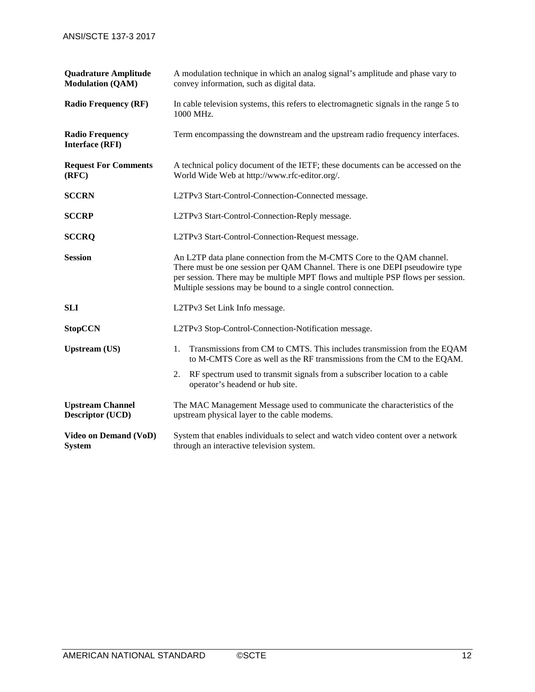| <b>Quadrature Amplitude</b><br><b>Modulation (QAM)</b> | A modulation technique in which an analog signal's amplitude and phase vary to<br>convey information, such as digital data.                                                                                                                                                                                  |  |  |
|--------------------------------------------------------|--------------------------------------------------------------------------------------------------------------------------------------------------------------------------------------------------------------------------------------------------------------------------------------------------------------|--|--|
| <b>Radio Frequency (RF)</b>                            | In cable television systems, this refers to electromagnetic signals in the range 5 to<br>1000 MHz.                                                                                                                                                                                                           |  |  |
| <b>Radio Frequency</b><br><b>Interface (RFI)</b>       | Term encompassing the downstream and the upstream radio frequency interfaces.                                                                                                                                                                                                                                |  |  |
| <b>Request For Comments</b><br>(RFC)                   | A technical policy document of the IETF; these documents can be accessed on the<br>World Wide Web at http://www.rfc-editor.org/.                                                                                                                                                                             |  |  |
| <b>SCCRN</b>                                           | L2TPv3 Start-Control-Connection-Connected message.                                                                                                                                                                                                                                                           |  |  |
| <b>SCCRP</b>                                           | L2TPv3 Start-Control-Connection-Reply message.                                                                                                                                                                                                                                                               |  |  |
| <b>SCCRQ</b>                                           | L2TPv3 Start-Control-Connection-Request message.                                                                                                                                                                                                                                                             |  |  |
| <b>Session</b>                                         | An L2TP data plane connection from the M-CMTS Core to the QAM channel.<br>There must be one session per QAM Channel. There is one DEPI pseudowire type<br>per session. There may be multiple MPT flows and multiple PSP flows per session.<br>Multiple sessions may be bound to a single control connection. |  |  |
| <b>SLI</b>                                             | L2TPv3 Set Link Info message.                                                                                                                                                                                                                                                                                |  |  |
| <b>StopCCN</b>                                         | L2TPv3 Stop-Control-Connection-Notification message.                                                                                                                                                                                                                                                         |  |  |
| <b>Upstream (US)</b>                                   | Transmissions from CM to CMTS. This includes transmission from the EQAM<br>1.<br>to M-CMTS Core as well as the RF transmissions from the CM to the EQAM.                                                                                                                                                     |  |  |
|                                                        | RF spectrum used to transmit signals from a subscriber location to a cable<br>2.<br>operator's headend or hub site.                                                                                                                                                                                          |  |  |
| <b>Upstream Channel</b><br><b>Descriptor (UCD)</b>     | The MAC Management Message used to communicate the characteristics of the<br>upstream physical layer to the cable modems.                                                                                                                                                                                    |  |  |
| <b>Video on Demand (VoD)</b><br><b>System</b>          | System that enables individuals to select and watch video content over a network<br>through an interactive television system.                                                                                                                                                                                |  |  |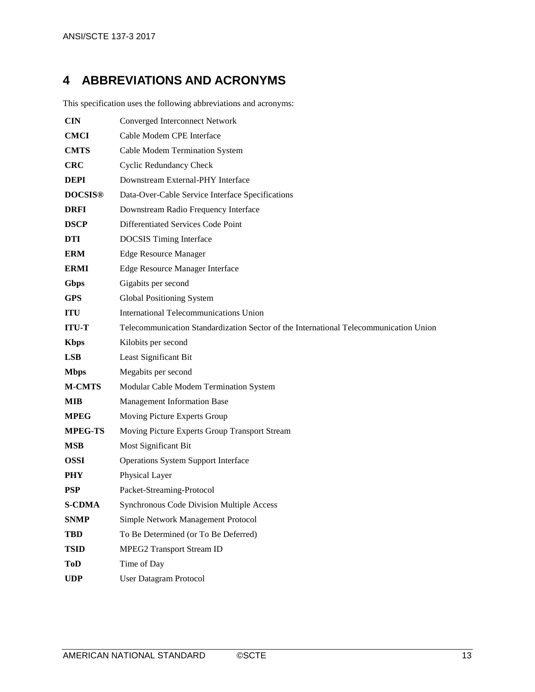# <span id="page-12-0"></span>**4 ABBREVIATIONS AND ACRONYMS**

This specification uses the following abbreviations and acronyms:

| <b>CIN</b>     | <b>Converged Interconnect Network</b>                                                 |  |
|----------------|---------------------------------------------------------------------------------------|--|
| <b>CMCI</b>    | Cable Modem CPE Interface                                                             |  |
| <b>CMTS</b>    | Cable Modem Termination System                                                        |  |
| <b>CRC</b>     | <b>Cyclic Redundancy Check</b>                                                        |  |
| <b>DEPI</b>    | Downstream External-PHY Interface                                                     |  |
| <b>DOCSIS®</b> | Data-Over-Cable Service Interface Specifications                                      |  |
| <b>DRFI</b>    | Downstream Radio Frequency Interface                                                  |  |
| <b>DSCP</b>    | Differentiated Services Code Point                                                    |  |
| <b>DTI</b>     | <b>DOCSIS</b> Timing Interface                                                        |  |
| <b>ERM</b>     | <b>Edge Resource Manager</b>                                                          |  |
| <b>ERMI</b>    | Edge Resource Manager Interface                                                       |  |
| Gbps           | Gigabits per second                                                                   |  |
| <b>GPS</b>     | Global Positioning System                                                             |  |
| <b>ITU</b>     | International Telecommunications Union                                                |  |
| <b>ITU-T</b>   | Telecommunication Standardization Sector of the International Telecommunication Union |  |
| <b>Kbps</b>    | Kilobits per second                                                                   |  |
| <b>LSB</b>     | Least Significant Bit                                                                 |  |
| <b>Mbps</b>    | Megabits per second                                                                   |  |
| <b>M-CMTS</b>  | Modular Cable Modem Termination System                                                |  |
| <b>MIB</b>     | <b>Management Information Base</b>                                                    |  |
| <b>MPEG</b>    | Moving Picture Experts Group                                                          |  |
| <b>MPEG-TS</b> | Moving Picture Experts Group Transport Stream                                         |  |
| <b>MSB</b>     | Most Significant Bit                                                                  |  |
| <b>OSSI</b>    | <b>Operations System Support Interface</b>                                            |  |
| <b>PHY</b>     | Physical Layer                                                                        |  |
| <b>PSP</b>     | Packet-Streaming-Protocol                                                             |  |
| <b>S-CDMA</b>  | <b>Synchronous Code Division Multiple Access</b>                                      |  |
| <b>SNMP</b>    | Simple Network Management Protocol                                                    |  |
| <b>TBD</b>     | To Be Determined (or To Be Deferred)                                                  |  |
| <b>TSID</b>    | <b>MPEG2 Transport Stream ID</b>                                                      |  |
| <b>ToD</b>     | Time of Day                                                                           |  |
| <b>UDP</b>     | <b>User Datagram Protocol</b>                                                         |  |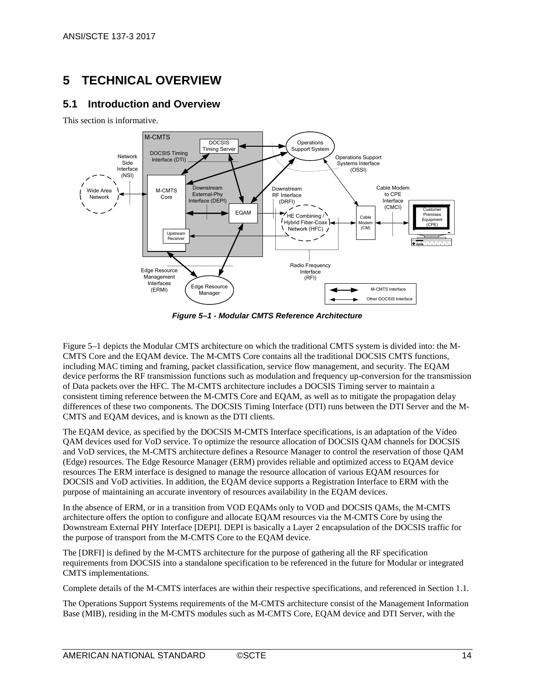# <span id="page-13-0"></span>**5 TECHNICAL OVERVIEW**

## <span id="page-13-1"></span>**5.1 Introduction and Overview**

This section is informative.



*Figure 5–1 - Modular CMTS Reference Architecture*

<span id="page-13-2"></span>[Figure](#page-13-2) 5–1 depicts the Modular CMTS architecture on which the traditional CMTS system is divided into: the M-CMTS Core and the EQAM device. The M-CMTS Core contains all the traditional DOCSIS CMTS functions, including MAC timing and framing, packet classification, service flow management, and security. The EQAM device performs the RF transmission functions such as modulation and frequency up-conversion for the transmission of Data packets over the HFC. The M-CMTS architecture includes a DOCSIS Timing server to maintain a consistent timing reference between the M-CMTS Core and EQAM, as well as to mitigate the propagation delay differences of these two components. The DOCSIS Timing Interface (DTI) runs between the DTI Server and the M-CMTS and EQAM devices, and is known as the DTI clients.

The EQAM device, as specified by the DOCSIS M-CMTS Interface specifications, is an adaptation of the Video QAM devices used for VoD service. To optimize the resource allocation of DOCSIS QAM channels for DOCSIS and VoD services, the M-CMTS architecture defines a Resource Manager to control the reservation of those QAM (Edge) resources. The Edge Resource Manager (ERM) provides reliable and optimized access to EQAM device resources The ERM interface is designed to manage the resource allocation of various EQAM resources for DOCSIS and VoD activities. In addition, the EQAM device supports a Registration Interface to ERM with the purpose of maintaining an accurate inventory of resources availability in the EQAM devices.

In the absence of ERM, or in a transition from VOD EQAMs only to VOD and DOCSIS QAMs, the M-CMTS architecture offers the option to configure and allocate EQAM resources via the M-CMTS Core by using the Downstream External PHY Interface [\[DEPI\].](#page-6-2) DEPI is basically a Layer 2 encapsulation of the DOCSIS traffic for the purpose of transport from the M-CMTS Core to the EQAM device.

The [\[DRFI\]](#page-6-3) is defined by the M-CMTS architecture for the purpose of gathering all the RF specification requirements from DOCSIS into a standalone specification to be referenced in the future for Modular or integrated CMTS implementations.

Complete details of the M-CMTS interfaces are within their respective specifications, and referenced in Section [1.1.](#page-5-1)

The Operations Support Systems requirements of the M-CMTS architecture consist of the Management Information Base (MIB), residing in the M-CMTS modules such as M-CMTS Core, EQAM device and DTI Server, with the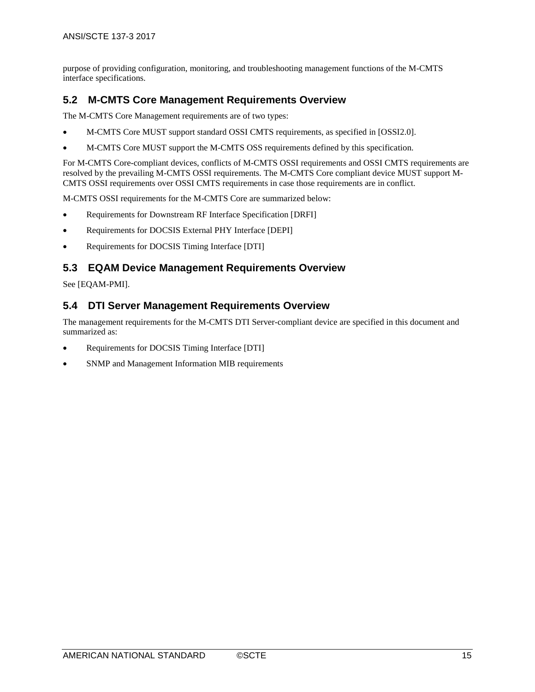purpose of providing configuration, monitoring, and troubleshooting management functions of the M-CMTS interface specifications.

## <span id="page-14-0"></span>**5.2 M-CMTS Core Management Requirements Overview**

The M-CMTS Core Management requirements are of two types:

- M-CMTS Core MUST support standard OSSI CMTS requirements, as specified in [\[OSSI2.0\].](#page-6-4)
- M-CMTS Core MUST support the M-CMTS OSS requirements defined by this specification.

For M-CMTS Core-compliant devices, conflicts of M-CMTS OSSI requirements and OSSI CMTS requirements are resolved by the prevailing M-CMTS OSSI requirements. The M-CMTS Core compliant device MUST support M-CMTS OSSI requirements over OSSI CMTS requirements in case those requirements are in conflict.

M-CMTS OSSI requirements for the M-CMTS Core are summarized below:

- Requirements for Downstream RF Interface Specification [\[DRFI\]](#page-6-3)
- Requirements for DOCSIS External PHY Interface [\[DEPI\]](#page-6-2)
- Requirements for DOCSIS Timing Interface [\[DTI\]](#page-6-5)

## <span id="page-14-1"></span>**5.3 EQAM Device Management Requirements Overview**

See [\[EQAM-PMI\].](#page-6-6)

## <span id="page-14-2"></span>**5.4 DTI Server Management Requirements Overview**

The management requirements for the M-CMTS DTI Server-compliant device are specified in this document and summarized as:

- Requirements for DOCSIS Timing Interface [\[DTI\]](#page-6-5)
- SNMP and Management Information MIB requirements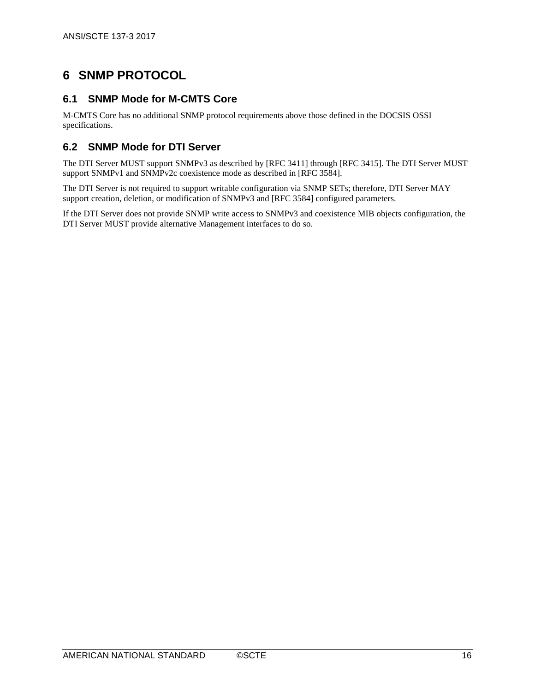# <span id="page-15-0"></span>**6 SNMP PROTOCOL**

## <span id="page-15-1"></span>**6.1 SNMP Mode for M-CMTS Core**

M-CMTS Core has no additional SNMP protocol requirements above those defined in the DOCSIS OSSI specifications.

## <span id="page-15-2"></span>**6.2 SNMP Mode for DTI Server**

The DTI Server MUST support SNMPv3 as described b[y \[RFC](#page-6-7) 3411] through [RFC [3415\].](#page-6-8) The DTI Server MUST support SNMPv1 and SNMPv2c coexistence mode as described in [RFC [3584\].](#page-6-9)

The DTI Server is not required to support writable configuration via SNMP SETs; therefore, DTI Server MAY support creation, deletion, or modification of SNMPv3 and [\[RFC](#page-6-9) 3584] configured parameters.

If the DTI Server does not provide SNMP write access to SNMPv3 and coexistence MIB objects configuration, the DTI Server MUST provide alternative Management interfaces to do so.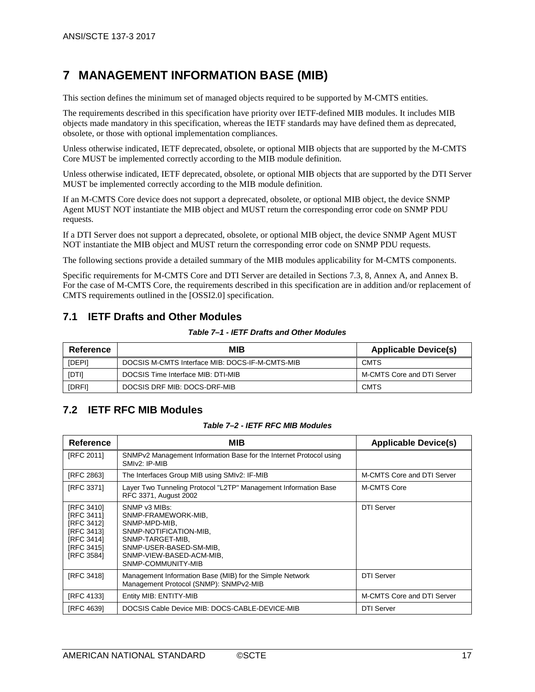## <span id="page-16-0"></span>**7 MANAGEMENT INFORMATION BASE (MIB)**

This section defines the minimum set of managed objects required to be supported by M-CMTS entities.

The requirements described in this specification have priority over IETF-defined MIB modules. It includes MIB objects made mandatory in this specification, whereas the IETF standards may have defined them as deprecated, obsolete, or those with optional implementation compliances.

Unless otherwise indicated, IETF deprecated, obsolete, or optional MIB objects that are supported by the M-CMTS Core MUST be implemented correctly according to the MIB module definition.

Unless otherwise indicated, IETF deprecated, obsolete, or optional MIB objects that are supported by the DTI Server MUST be implemented correctly according to the MIB module definition.

If an M-CMTS Core device does not support a deprecated, obsolete, or optional MIB object, the device SNMP Agent MUST NOT instantiate the MIB object and MUST return the corresponding error code on SNMP PDU requests.

If a DTI Server does not support a deprecated, obsolete, or optional MIB object, the device SNMP Agent MUST NOT instantiate the MIB object and MUST return the corresponding error code on SNMP PDU requests.

The following sections provide a detailed summary of the MIB modules applicability for M-CMTS components.

Specific requirements for M-CMTS Core and DTI Server are detailed in Sections [7.3,](#page-17-0) [8,](#page-22-0) [Annex A,](#page-23-0) and [Annex B.](#page-36-0) For the case of M-CMTS Core, the requirements described in this specification are in addition and/or replacement of CMTS requirements outlined in th[e \[OSSI2.0\]](#page-6-4) specification.

## <span id="page-16-1"></span>**7.1 IETF Drafts and Other Modules**

*Table 7–1 - IETF Drafts and Other Modules*

<span id="page-16-2"></span>

| Reference    | MIB                                             | <b>Applicable Device(s)</b> |
|--------------|-------------------------------------------------|-----------------------------|
| [DEPI]       | DOCSIS M-CMTS Interface MIB: DOCS-IF-M-CMTS-MIB | <b>CMTS</b>                 |
| <b>IDTII</b> | DOCSIS Time Interface MIB: DTI-MIB              | M-CMTS Core and DTI Server  |
| [DRFI]       | DOCSIS DRF MIB: DOCS-DRF-MIB                    | <b>CMTS</b>                 |

## <span id="page-16-3"></span>**7.2 IETF RFC MIB Modules**

#### *Table 7–2 - IETF RFC MIB Modules*

<span id="page-16-4"></span>

| <b>Reference</b>                                                                               | MIB                                                                                                                                                                              | <b>Applicable Device(s)</b> |
|------------------------------------------------------------------------------------------------|----------------------------------------------------------------------------------------------------------------------------------------------------------------------------------|-----------------------------|
| [RFC 2011]                                                                                     | SNMP <sub>v2</sub> Management Information Base for the Internet Protocol using<br>SMIv2: IP-MIB                                                                                  |                             |
| [RFC 2863]                                                                                     | The Interfaces Group MIB using SMIv2: IF-MIB                                                                                                                                     | M-CMTS Core and DTI Server  |
| [RFC 3371]                                                                                     | Layer Two Tunneling Protocol "L2TP" Management Information Base<br>RFC 3371, August 2002                                                                                         | M-CMTS Core                 |
| [RFC 3410]<br>[RFC 3411]<br>[RFC 3412]<br>[RFC 3413]<br>[RFC 3414]<br>[RFC 3415]<br>[RFC 3584] | SNMP v3 MIBs:<br>SNMP-FRAMEWORK-MIB,<br>SNMP-MPD-MIB,<br>SNMP-NOTIFICATION-MIB.<br>SNMP-TARGET-MIB.<br>SNMP-USER-BASED-SM-MIB,<br>SNMP-VIEW-BASED-ACM-MIB,<br>SNMP-COMMUNITY-MIB | <b>DTI Server</b>           |
| [RFC 3418]                                                                                     | Management Information Base (MIB) for the Simple Network<br>Management Protocol (SNMP): SNMPv2-MIB                                                                               | <b>DTI Server</b>           |
| [RFC 4133]                                                                                     | Entity MIB: ENTITY-MIB                                                                                                                                                           | M-CMTS Core and DTI Server  |
| [RFC 4639]                                                                                     | DOCSIS Cable Device MIB: DOCS-CABLE-DEVICE-MIB                                                                                                                                   | <b>DTI Server</b>           |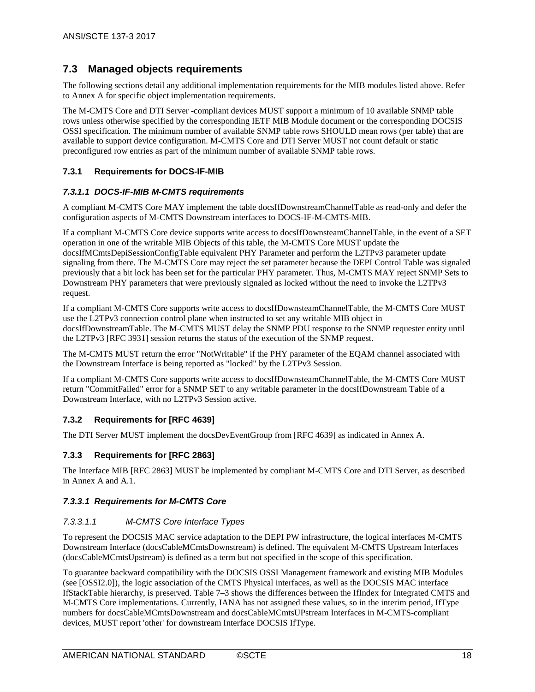## <span id="page-17-0"></span>**7.3 Managed objects requirements**

The following sections detail any additional implementation requirements for the MIB modules listed above. Refer to [Annex A](#page-23-0) for specific object implementation requirements.

The M-CMTS Core and DTI Server -compliant devices MUST support a minimum of 10 available SNMP table rows unless otherwise specified by the corresponding IETF MIB Module document or the corresponding DOCSIS OSSI specification. The minimum number of available SNMP table rows SHOULD mean rows (per table) that are available to support device configuration. M-CMTS Core and DTI Server MUST not count default or static preconfigured row entries as part of the minimum number of available SNMP table rows.

#### <span id="page-17-1"></span>**7.3.1 Requirements for DOCS-IF-MIB**

#### <span id="page-17-2"></span>*7.3.1.1 DOCS-IF-MIB M-CMTS requirements*

A compliant M-CMTS Core MAY implement the table docsIfDownstreamChannelTable as read-only and defer the configuration aspects of M-CMTS Downstream interfaces to DOCS-IF-M-CMTS-MIB.

If a compliant M-CMTS Core device supports write access to docsIfDownsteamChannelTable, in the event of a SET operation in one of the writable MIB Objects of this table, the M-CMTS Core MUST update the docsIfMCmtsDepiSessionConfigTable equivalent PHY Parameter and perform the L2TPv3 parameter update signaling from there. The M-CMTS Core may reject the set parameter because the DEPI Control Table was signaled previously that a bit lock has been set for the particular PHY parameter. Thus, M-CMTS MAY reject SNMP Sets to Downstream PHY parameters that were previously signaled as locked without the need to invoke the L2TPv3 request.

If a compliant M-CMTS Core supports write access to docsIfDownsteamChannelTable, the M-CMTS Core MUST use the L2TPv3 connection control plane when instructed to set any writable MIB object in docsIfDownstreamTable. The M-CMTS MUST delay the SNMP PDU response to the SNMP requester entity until the L2TPv3 [\[RFC](#page-6-19) 3931] session returns the status of the execution of the SNMP request.

The M-CMTS MUST return the error "NotWritable" if the PHY parameter of the EQAM channel associated with the Downstream Interface is being reported as "locked" by the L2TPv3 Session.

If a compliant M-CMTS Core supports write access to docsIfDownsteamChannelTable, the M-CMTS Core MUST return "CommitFailed" error for a SNMP SET to any writable parameter in the docsIfDownstream Table of a Downstream Interface, with no L2TPv3 Session active.

#### <span id="page-17-3"></span>**7.3.2 Requirements for [\[RFC 4639\]](#page-7-2)**

The DTI Server MUST implement the docsDevEventGroup from [\[RFC 4639\]](#page-7-2) as indicated in [Annex A.](#page-23-0)

#### <span id="page-17-4"></span>**7.3.3 Requirements for [\[RFC](#page-6-11) 2863]**

The Interface MIB [\[RFC](#page-6-11) 2863] MUST be implemented by compliant M-CMTS Core and DTI Server, as described in [Annex A](#page-23-0) and [A.1.](#page-35-0)

#### <span id="page-17-5"></span>*7.3.3.1 Requirements for M-CMTS Core*

#### *7.3.3.1.1 M-CMTS Core Interface Types*

To represent the DOCSIS MAC service adaptation to the DEPI PW infrastructure, the logical interfaces M-CMTS Downstream Interface (docsCableMCmtsDownstream) is defined. The equivalent M-CMTS Upstream Interfaces (docsCableMCmtsUpstream) is defined as a term but not specified in the scope of this specification.

To guarantee backward compatibility with the DOCSIS OSSI Management framework and existing MIB Modules (se[e \[OSSI2.0\]\)](#page-6-4), the logic association of the CMTS Physical interfaces, as well as the DOCSIS MAC interface IfStackTable hierarchy, is preserved. [Table](#page-18-0) 7–3 shows the differences between the IfIndex for Integrated CMTS and M-CMTS Core implementations. Currently, IANA has not assigned these values, so in the interim period, IfType numbers for docsCableMCmtsDownstream and docsCableMCmtsUPstream Interfaces in M-CMTS-compliant devices, MUST report 'other' for downstream Interface DOCSIS IfType.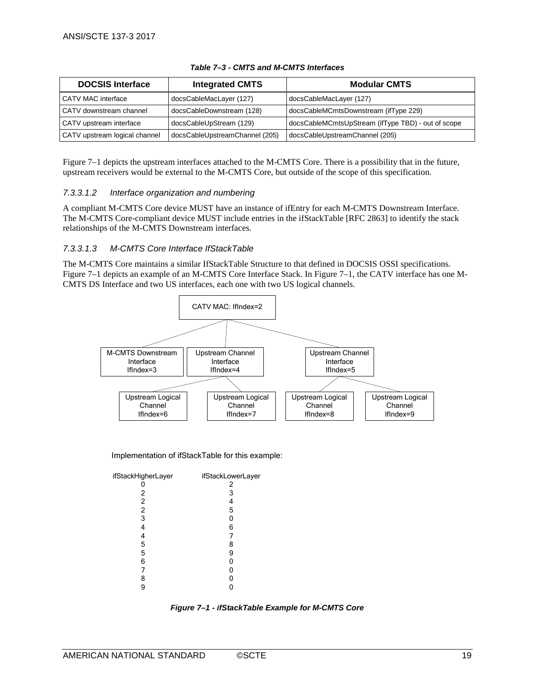<span id="page-18-0"></span>

| <b>DOCSIS Interface</b>       | <b>Integrated CMTS</b>         | <b>Modular CMTS</b>                                |
|-------------------------------|--------------------------------|----------------------------------------------------|
| CATV MAC interface            | docsCableMacLayer (127)        | docsCableMacLayer (127)                            |
| CATV downstream channel       | docsCableDownstream (128)      | docsCableMCmtsDownstream (ifType 229)              |
| CATV upstream interface       | docsCableUpStream (129)        | docsCableMCmtsUpStream (ifType TBD) - out of scope |
| CATV upstream logical channel | docsCableUpstreamChannel (205) | docsCableUpstreamChannel (205)                     |

#### *Table 7–3 - CMTS and M-CMTS Interfaces*

[Figure](#page-18-1) 7–1 depicts the upstream interfaces attached to the M-CMTS Core. There is a possibility that in the future, upstream receivers would be external to the M-CMTS Core, but outside of the scope of this specification.

#### *7.3.3.1.2 Interface organization and numbering*

A compliant M-CMTS Core device MUST have an instance of ifEntry for each M-CMTS Downstream Interface. The M-CMTS Core-compliant device MUST include entries in the ifStackTable [\[RFC](#page-6-11) 2863] to identify the stack relationships of the M-CMTS Downstream interfaces.

#### *7.3.3.1.3 M-CMTS Core Interface IfStackTable*

The M-CMTS Core maintains a similar IfStackTable Structure to that defined in DOCSIS OSSI specifications. [Figure](#page-18-1) 7–1 depicts an example of an M-CMTS Core Interface Stack. In [Figure](#page-18-1) 7–1, the CATV interface has one M-CMTS DS Interface and two US interfaces, each one with two US logical channels.



Implementation of ifStackTable for this example:

| ifStackHigherLayer | ifStackLowerLayer |
|--------------------|-------------------|
|                    | 2                 |
| 2                  | 3                 |
| 2                  | 4                 |
| 2                  | 5                 |
| 3                  | 0                 |
|                    | 6                 |
| 4                  |                   |
| 5                  | 8                 |
| 5                  | 9                 |
| 6                  | 0                 |
|                    | 0                 |
| 8                  | 0                 |
| 9                  |                   |
|                    |                   |

<span id="page-18-1"></span>*Figure 7–1 - ifStackTable Example for M-CMTS Core*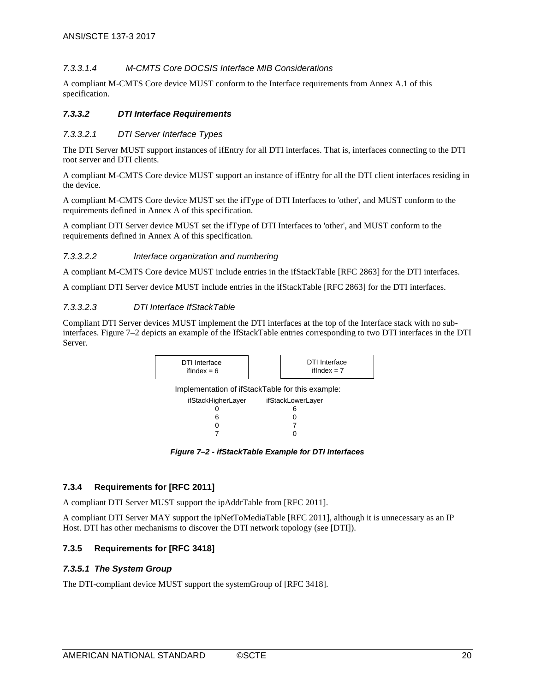#### *7.3.3.1.4 M-CMTS Core DOCSIS Interface MIB Considerations*

A compliant M-CMTS Core device MUST conform to the Interface requirements from Annex [A.1](#page-35-0) of this specification.

#### <span id="page-19-0"></span>*7.3.3.2 DTI Interface Requirements*

#### *7.3.3.2.1 DTI Server Interface Types*

The DTI Server MUST support instances of ifEntry for all DTI interfaces. That is, interfaces connecting to the DTI root server and DTI clients.

A compliant M-CMTS Core device MUST support an instance of ifEntry for all the DTI client interfaces residing in the device.

A compliant M-CMTS Core device MUST set the ifType of DTI Interfaces to 'other', and MUST conform to the requirements defined in [Annex A](#page-23-0) of this specification.

A compliant DTI Server device MUST set the ifType of DTI Interfaces to 'other', and MUST conform to the requirements defined in [Annex A](#page-23-0) of this specification.

#### *7.3.3.2.2 Interface organization and numbering*

A compliant M-CMTS Core device MUST include entries in the ifStackTabl[e \[RFC](#page-6-11) 2863] for the DTI interfaces.

A compliant DTI Server device MUST include entries in the ifStackTabl[e \[RFC](#page-6-11) 2863] for the DTI interfaces.

#### *7.3.3.2.3 DTI Interface IfStackTable*

Compliant DTI Server devices MUST implement the DTI interfaces at the top of the Interface stack with no subinterfaces. [Figure](#page-19-4) 7–2 depicts an example of the IfStackTable entries corresponding to two DTI interfaces in the DTI Server.



*Figure 7–2 - ifStackTable Example for DTI Interfaces*

#### <span id="page-19-4"></span><span id="page-19-1"></span>**7.3.4 Requirements for [\[RFC](#page-6-10) 2011]**

A compliant DTI Server MUST support the ipAddrTable from [RFC [2011\].](#page-6-10)

A compliant DTI Server MAY support the ipNetToMediaTable [RFC [2011\],](#page-6-10) although it is unnecessary as an IP Host. DTI has other mechanisms to discover the DTI network topology (see [\[DTI\]\)](#page-6-5).

#### <span id="page-19-2"></span>**7.3.5 Requirements for [\[RFC](#page-6-17) 3418]**

#### <span id="page-19-3"></span>*7.3.5.1 The System Group*

The DTI-compliant device MUST support the systemGroup of [RFC [3418\].](#page-6-17)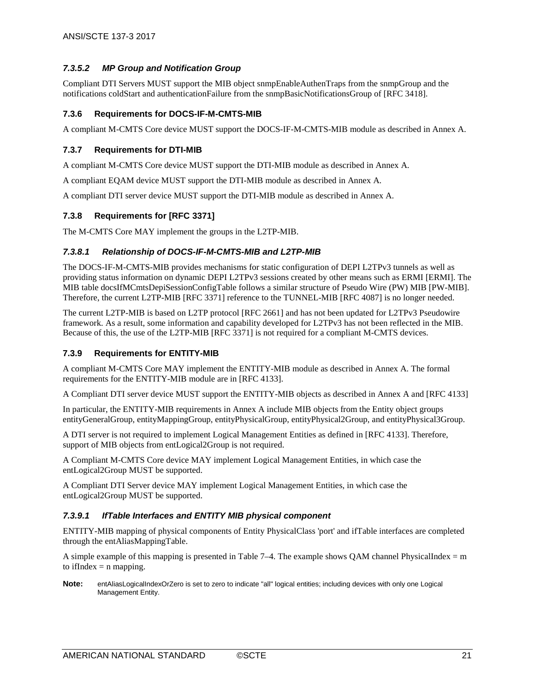#### <span id="page-20-0"></span>*7.3.5.2 MP Group and Notification Group*

Compliant DTI Servers MUST support the MIB object snmpEnableAuthenTraps from the snmpGroup and the notifications coldStart and authenticationFailure from the snmpBasicNotificationsGroup of [RFC [3418\].](#page-6-17)

#### <span id="page-20-1"></span>**7.3.6 Requirements for DOCS-IF-M-CMTS-MIB**

A compliant M-CMTS Core device MUST support the DOCS-IF-M-CMTS-MIB module as described in [Annex A.](#page-23-0) 

#### <span id="page-20-2"></span>**7.3.7 Requirements for DTI-MIB**

A compliant M-CMTS Core device MUST support the DTI-MIB module as described in [Annex A.](#page-23-0)

A compliant EQAM device MUST support the DTI-MIB module as described in [Annex A.](#page-23-0)

A compliant DTI server device MUST support the DTI-MIB module as described in [Annex A.](#page-23-0)

#### <span id="page-20-3"></span>**7.3.8 Requirements for [\[RFC](#page-6-12) 3371]**

The M-CMTS Core MAY implement the groups in the L2TP-MIB.

#### <span id="page-20-4"></span>*7.3.8.1 Relationship of DOCS-IF-M-CMTS-MIB and L2TP-MIB*

The DOCS-IF-M-CMTS-MIB provides mechanisms for static configuration of DEPI L2TPv3 tunnels as well as providing status information on dynamic DEPI L2TPv3 sessions created by other means such as ERMI [\[ERMI\].](#page-6-20) The MIB table docsIfMCmtsDepiSessionConfigTable follows a similar structure of Pseudo Wire (PW) MIB [\[PW-MIB\].](#page-7-3) Therefore, the current L2TP-MIB [\[RFC](#page-6-12) 3371] reference to the TUNNEL-MIB [\[RFC](#page-7-4) 4087] is no longer needed.

The current L2TP-MIB is based on L2TP protoco[l \[RFC](#page-7-5) 2661] and has not been updated for L2TPv3 Pseudowire framework. As a result, some information and capability developed for L2TPv3 has not been reflected in the MIB. Because of this, the use of the L2TP-MI[B \[RFC](#page-6-12) 3371] is not required for a compliant M-CMTS devices.

#### <span id="page-20-5"></span>**7.3.9 Requirements for ENTITY-MIB**

A compliant M-CMTS Core MAY implement the ENTITY-MIB module as described in [Annex A.](#page-23-0) The formal requirements for the ENTITY-MIB module are in [\[RFC 4133\].](#page-6-18)

A Compliant DTI server device MUST support the ENTITY-MIB objects as described in [Annex A](#page-23-0) and [\[RFC 4133\]](#page-6-18)

In particular, the ENTITY-MIB requirements in [Annex A](#page-23-0) include MIB objects from the Entity object groups entityGeneralGroup, entityMappingGroup, entityPhysicalGroup, entityPhysical2Group, and entityPhysical3Group.

A DTI server is not required to implement Logical Management Entities as defined in [\[RFC 4133\].](#page-6-18) Therefore, support of MIB objects from entLogical2Group is not required.

A Compliant M-CMTS Core device MAY implement Logical Management Entities, in which case the entLogical2Group MUST be supported.

A Compliant DTI Server device MAY implement Logical Management Entities, in which case the entLogical2Group MUST be supported.

#### <span id="page-20-6"></span>*7.3.9.1 IfTable Interfaces and ENTITY MIB physical component*

ENTITY-MIB mapping of physical components of Entity PhysicalClass 'port' and ifTable interfaces are completed through the entAliasMappingTable.

A simple example of this mapping is presented in [Table](#page-21-0)  $7-4$ . The example shows QAM channel PhysicalIndex = m to if Index  $=$  n mapping.

**Note:** entAliasLogicalIndexOrZero is set to zero to indicate "all" logical entities; including devices with only one Logical Management Entity.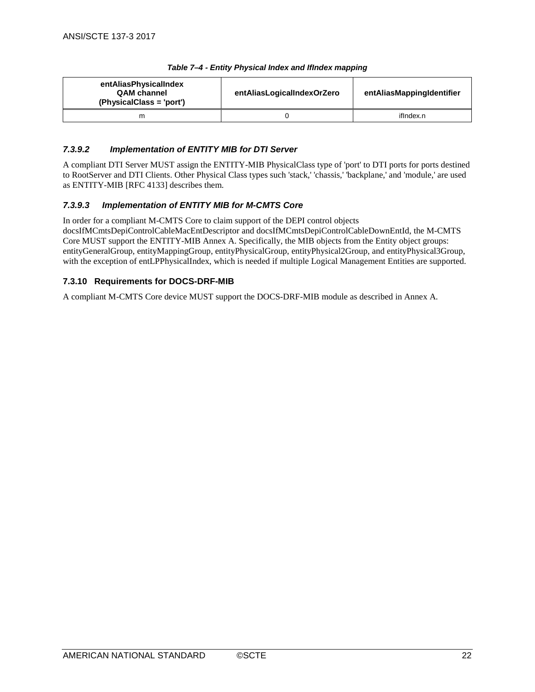<span id="page-21-0"></span>

| entAliasPhysicalIndex<br><b>QAM</b> channel<br>(PhysicalClass = 'port') | entAliasLogicalIndexOrZero | entAliasMappingIdentifier |
|-------------------------------------------------------------------------|----------------------------|---------------------------|
| m                                                                       |                            | ifIndex.n                 |

#### *Table 7–4 - Entity Physical Index and IfIndex mapping*

#### <span id="page-21-1"></span>*7.3.9.2 Implementation of ENTITY MIB for DTI Server*

A compliant DTI Server MUST assign the ENTITY-MIB PhysicalClass type of 'port' to DTI ports for ports destined to RootServer and DTI Clients. Other Physical Class types such 'stack,' 'chassis,' 'backplane,' and 'module,' are used as ENTITY-MI[B \[RFC 4133\]](#page-6-18) describes them.

#### <span id="page-21-2"></span>*7.3.9.3 Implementation of ENTITY MIB for M-CMTS Core*

In order for a compliant M-CMTS Core to claim support of the DEPI control objects docsIfMCmtsDepiControlCableMacEntDescriptor and docsIfMCmtsDepiControlCableDownEntId, the M-CMTS Core MUST support the ENTITY-MIB [Annex A.](#page-23-0) Specifically, the MIB objects from the Entity object groups: entityGeneralGroup, entityMappingGroup, entityPhysicalGroup, entityPhysical2Group, and entityPhysical3Group, with the exception of entLPPhysicalIndex, which is needed if multiple Logical Management Entities are supported.

#### <span id="page-21-3"></span>**7.3.10 Requirements for DOCS-DRF-MIB**

A compliant M-CMTS Core device MUST support the DOCS-DRF-MIB module as described in [Annex A.](#page-23-0)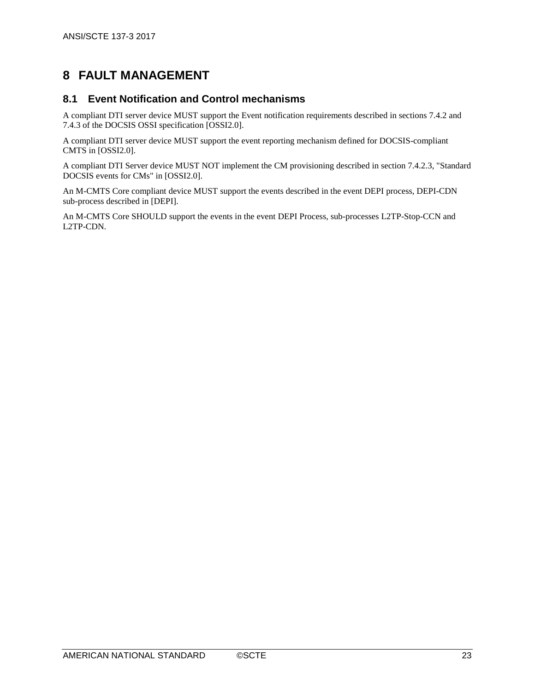# <span id="page-22-0"></span>**8 FAULT MANAGEMENT**

## <span id="page-22-1"></span>**8.1 Event Notification and Control mechanisms**

A compliant DTI server device MUST support the Event notification requirements described in sections 7.4.2 and 7.4.3 of the DOCSIS OSSI specification [\[OSSI2.0\].](#page-6-4)

A compliant DTI server device MUST support the event reporting mechanism defined for DOCSIS-compliant CMTS in [\[OSSI2.0\].](#page-6-4)

A compliant DTI Server device MUST NOT implement the CM provisioning described in section 7.4.2.3, "Standard DOCSIS events for CMs" i[n \[OSSI2.0\].](#page-6-4)

An M-CMTS Core compliant device MUST support the events described in the event DEPI process, DEPI-CDN sub-process described in [DEPI].

An M-CMTS Core SHOULD support the events in the event DEPI Process, sub-processes L2TP-Stop-CCN and L2TP-CDN.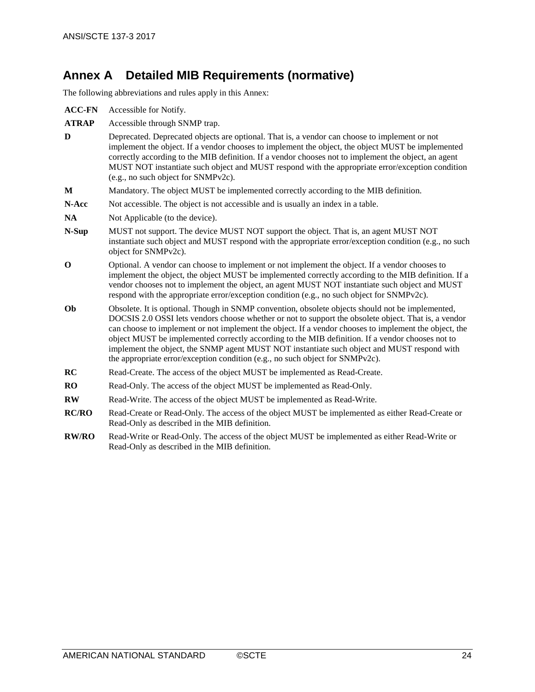# <span id="page-23-0"></span>**Annex A Detailed MIB Requirements (normative)**

The following abbreviations and rules apply in this Annex:

| <b>ACC-FN</b> | Accessible for Notify.                                                                                                                                                                                                                                                                                                                                                                                                                                                                                                                                                                                |
|---------------|-------------------------------------------------------------------------------------------------------------------------------------------------------------------------------------------------------------------------------------------------------------------------------------------------------------------------------------------------------------------------------------------------------------------------------------------------------------------------------------------------------------------------------------------------------------------------------------------------------|
| <b>ATRAP</b>  | Accessible through SNMP trap.                                                                                                                                                                                                                                                                                                                                                                                                                                                                                                                                                                         |
| D             | Deprecated. Deprecated objects are optional. That is, a vendor can choose to implement or not<br>implement the object. If a vendor chooses to implement the object, the object MUST be implemented<br>correctly according to the MIB definition. If a vendor chooses not to implement the object, an agent<br>MUST NOT instantiate such object and MUST respond with the appropriate error/exception condition<br>(e.g., no such object for SNMPv2c).                                                                                                                                                 |
| M             | Mandatory. The object MUST be implemented correctly according to the MIB definition.                                                                                                                                                                                                                                                                                                                                                                                                                                                                                                                  |
| N-Acc         | Not accessible. The object is not accessible and is usually an index in a table.                                                                                                                                                                                                                                                                                                                                                                                                                                                                                                                      |
| <b>NA</b>     | Not Applicable (to the device).                                                                                                                                                                                                                                                                                                                                                                                                                                                                                                                                                                       |
| N-Sup         | MUST not support. The device MUST NOT support the object. That is, an agent MUST NOT<br>instantiate such object and MUST respond with the appropriate error/exception condition (e.g., no such<br>object for SNMPv2c).                                                                                                                                                                                                                                                                                                                                                                                |
| $\mathbf 0$   | Optional. A vendor can choose to implement or not implement the object. If a vendor chooses to<br>implement the object, the object MUST be implemented correctly according to the MIB definition. If a<br>vendor chooses not to implement the object, an agent MUST NOT instantiate such object and MUST<br>respond with the appropriate error/exception condition (e.g., no such object for SNMPv2c).                                                                                                                                                                                                |
| Ob            | Obsolete. It is optional. Though in SNMP convention, obsolete objects should not be implemented,<br>DOCSIS 2.0 OSSI lets vendors choose whether or not to support the obsolete object. That is, a vendor<br>can choose to implement or not implement the object. If a vendor chooses to implement the object, the<br>object MUST be implemented correctly according to the MIB definition. If a vendor chooses not to<br>implement the object, the SNMP agent MUST NOT instantiate such object and MUST respond with<br>the appropriate error/exception condition (e.g., no such object for SNMPv2c). |
| RC            | Read-Create. The access of the object MUST be implemented as Read-Create.                                                                                                                                                                                                                                                                                                                                                                                                                                                                                                                             |
| RO            | Read-Only. The access of the object MUST be implemented as Read-Only.                                                                                                                                                                                                                                                                                                                                                                                                                                                                                                                                 |
| <b>RW</b>     | Read-Write. The access of the object MUST be implemented as Read-Write.                                                                                                                                                                                                                                                                                                                                                                                                                                                                                                                               |
| <b>RC/RO</b>  | Read-Create or Read-Only. The access of the object MUST be implemented as either Read-Create or<br>Read-Only as described in the MIB definition.                                                                                                                                                                                                                                                                                                                                                                                                                                                      |
| <b>RW/RO</b>  | Read-Write or Read-Only. The access of the object MUST be implemented as either Read-Write or<br>Read-Only as described in the MIB definition.                                                                                                                                                                                                                                                                                                                                                                                                                                                        |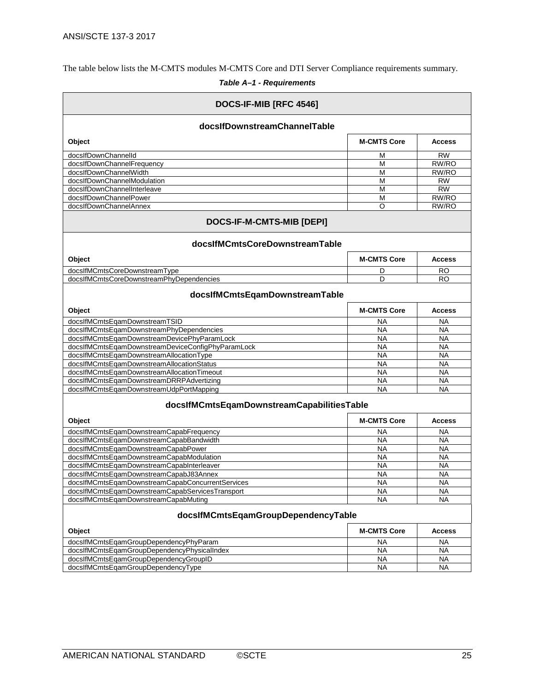The table below lists the M-CMTS modules M-CMTS Core and DTI Server Compliance requirements summary.

## *Table A–1 - Requirements*

<span id="page-24-0"></span>

| DOCS-IF-MIB [RFC 4546]                            |                    |               |  |  |  |
|---------------------------------------------------|--------------------|---------------|--|--|--|
| docsIfDownstreamChannelTable                      |                    |               |  |  |  |
| Object                                            | <b>M-CMTS Core</b> | <b>Access</b> |  |  |  |
| docsIfDownChannelId                               | М                  | <b>RW</b>     |  |  |  |
| docsIfDownChannelFrequency                        | M                  | RW/RO         |  |  |  |
| docsIfDownChannelWidth                            | М                  | RW/RO         |  |  |  |
| docsIfDownChannelModulation                       | M                  | <b>RW</b>     |  |  |  |
| docsIfDownChannelInterleave                       | M                  | <b>RW</b>     |  |  |  |
| docsIfDownChannelPower                            | М                  | RW/RO         |  |  |  |
| docsIfDownChannelAnnex                            | O                  | RW/RO         |  |  |  |
| DOCS-IF-M-CMTS-MIB [DEPI]                         |                    |               |  |  |  |
| docsIfMCmtsCoreDownstreamTable                    |                    |               |  |  |  |
| Object                                            | <b>M-CMTS Core</b> | <b>Access</b> |  |  |  |
| docsIfMCmtsCoreDownstreamType                     | D                  | RO            |  |  |  |
| docsIfMCmtsCoreDownstreamPhyDependencies          | D                  | RO            |  |  |  |
| docsIfMCmtsEqamDownstreamTable                    |                    |               |  |  |  |
| Object                                            | <b>M-CMTS Core</b> | <b>Access</b> |  |  |  |
| docsIfMCmtsEqamDownstreamTSID                     | NA                 | <b>NA</b>     |  |  |  |
| docsIfMCmtsEqamDownstreamPhyDependencies          | NA                 | <b>NA</b>     |  |  |  |
| docsIfMCmtsEqamDownstreamDevicePhyParamLock       | <b>NA</b>          | <b>NA</b>     |  |  |  |
| docsIfMCmtsEqamDownstreamDeviceConfigPhyParamLock | <b>NA</b>          | <b>NA</b>     |  |  |  |
| docsIfMCmtsEqamDownstreamAllocationType           | <b>NA</b>          | <b>NA</b>     |  |  |  |
| docsIfMCmtsEqamDownstreamAllocationStatus         | <b>NA</b>          | <b>NA</b>     |  |  |  |
| docsIfMCmtsEqamDownstreamAllocationTimeout        | NA                 | <b>NA</b>     |  |  |  |
| docsIfMCmtsEqamDownstreamDRRPAdvertizing          | <b>NA</b>          | <b>NA</b>     |  |  |  |
| docsIfMCmtsEqamDownstreamUdpPortMapping           | <b>NA</b>          | <b>NA</b>     |  |  |  |
| docsIfMCmtsEqamDownstreamCapabilitiesTable        |                    |               |  |  |  |
| Object                                            | <b>M-CMTS Core</b> | <b>Access</b> |  |  |  |
| docsIfMCmtsEqamDownstreamCapabFrequency           | <b>NA</b>          | <b>NA</b>     |  |  |  |
| docsIfMCmtsEgamDownstreamCapabBandwidth           | <b>NA</b>          | <b>NA</b>     |  |  |  |
| docsIfMCmtsEqamDownstreamCapabPower               | <b>NA</b>          | <b>NA</b>     |  |  |  |
| docsIfMCmtsEqamDownstreamCapabModulation          | <b>NA</b>          | <b>NA</b>     |  |  |  |
| docsIfMCmtsEqamDownstreamCapabInterleaver         | NA                 | <b>NA</b>     |  |  |  |
| docsIfMCmtsEqamDownstreamCapabJ83Annex            | <b>NA</b>          | <b>NA</b>     |  |  |  |
| docsIfMCmtsEqamDownstreamCapabConcurrentServices  | <b>NA</b>          | <b>NA</b>     |  |  |  |
| docsIfMCmtsEqamDownstreamCapabServicesTransport   | <b>NA</b>          | <b>NA</b>     |  |  |  |
| docsIfMCmtsEqamDownstreamCapabMuting              | <b>NA</b>          | <b>NA</b>     |  |  |  |
| docsIfMCmtsEqamGroupDependencyTable               |                    |               |  |  |  |
| Object                                            | <b>M-CMTS Core</b> | <b>Access</b> |  |  |  |
| docsIfMCmtsEqamGroupDependencyPhyParam            | <b>NA</b>          | <b>NA</b>     |  |  |  |
| docsIfMCmtsEqamGroupDependencyPhysicalIndex       | NA                 | NA            |  |  |  |
| docsIfMCmtsEqamGroupDependencyGroupID             | NA                 | NA            |  |  |  |
| docsIfMCmtsEqamGroupDependencyType                | <b>NA</b>          | <b>NA</b>     |  |  |  |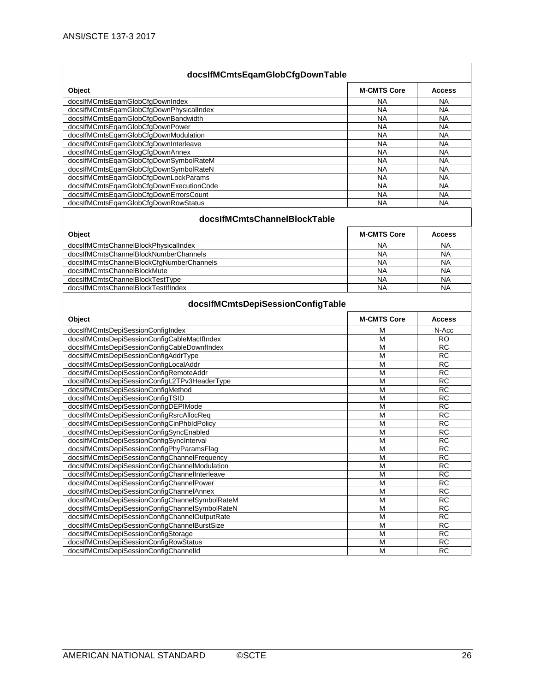| docsIfMCmtsEqamGlobCfgDownTable                                                |                    |                        |  |  |  |
|--------------------------------------------------------------------------------|--------------------|------------------------|--|--|--|
| Object                                                                         | <b>M-CMTS Core</b> | <b>Access</b>          |  |  |  |
| docsIfMCmtsEqamGlobCfgDownIndex                                                | NA                 | ΝA                     |  |  |  |
| docsIfMCmtsEqamGlobCfgDownPhysicalIndex                                        | <b>NA</b>          | <b>NA</b>              |  |  |  |
| docsIfMCmtsEqamGlobCfgDownBandwidth                                            | <b>NA</b>          | <b>NA</b>              |  |  |  |
| docsIfMCmtsEqamGlobCfgDownPower                                                | <b>NA</b>          | <b>NA</b>              |  |  |  |
| docsIfMCmtsEqamGlobCfgDownModulation                                           | <b>NA</b>          | <b>NA</b>              |  |  |  |
| docsIfMCmtsEqamGlobCfqDownInterleave                                           | <b>NA</b>          | <b>NA</b>              |  |  |  |
| docsIfMCmtsEqamGlogCfgDownAnnex                                                | <b>NA</b>          | <b>NA</b>              |  |  |  |
| docsIfMCmtsEqamGlobCfgDownSymbolRateM                                          | <b>NA</b>          | <b>NA</b>              |  |  |  |
| docsIfMCmtsEqamGlobCfgDownSymbolRateN                                          | <b>NA</b>          | <b>NA</b>              |  |  |  |
| docsIfMCmtsEqamGlobCfgDownLockParams                                           | <b>NA</b>          | <b>NA</b>              |  |  |  |
| docsIfMCmtsEqamGlobCfgDownExecutionCode                                        | <b>NA</b>          | <b>NA</b>              |  |  |  |
| docsIfMCmtsEqamGlobCfgDownErrorsCount                                          | <b>NA</b>          | <b>NA</b>              |  |  |  |
| docsIfMCmtsEqamGlobCfgDownRowStatus                                            | <b>NA</b>          | <b>NA</b>              |  |  |  |
| docsIfMCmtsChannelBlockTable                                                   |                    |                        |  |  |  |
| Object                                                                         | <b>M-CMTS Core</b> | <b>Access</b>          |  |  |  |
| docsIfMCmtsChannelBlockPhysicalIndex                                           | NA                 | NA                     |  |  |  |
| docsIfMCmtsChannelBlockNumberChannels                                          | <b>NA</b>          | <b>NA</b>              |  |  |  |
| docsIfMCmtsChannelBlockCfgNumberChannels                                       | <b>NA</b>          | <b>NA</b>              |  |  |  |
| docsIfMCmtsChannelBlockMute                                                    | <b>NA</b>          | <b>NA</b>              |  |  |  |
| docsIfMCmtsChannelBlockTestType                                                | NA                 | NA                     |  |  |  |
| docsIfMCmtsChannelBlockTestIfIndex                                             | <b>NA</b>          | <b>NA</b>              |  |  |  |
| docsIfMCmtsDepiSessionConfigTable                                              |                    |                        |  |  |  |
|                                                                                |                    |                        |  |  |  |
| Object                                                                         | <b>M-CMTS Core</b> | <b>Access</b>          |  |  |  |
| docsIfMCmtsDepiSessionConfigIndex                                              | M                  | N-Acc                  |  |  |  |
| docsIfMCmtsDepiSessionConfigCableMacIfIndex                                    | M                  | <b>RO</b>              |  |  |  |
| docsIfMCmtsDepiSessionConfigCableDownfIndex                                    | M                  | <b>RC</b>              |  |  |  |
| docsIfMCmtsDepiSessionConfigAddrType                                           | M                  | $\overline{RC}$        |  |  |  |
| docsIfMCmtsDepiSessionConfigLocalAddr                                          | M                  | <b>RC</b>              |  |  |  |
| docsIfMCmtsDepiSessionConfigRemoteAddr                                         | M                  | <b>RC</b>              |  |  |  |
| docsIfMCmtsDepiSessionConfigL2TPv3HeaderType                                   | M                  | <b>RC</b>              |  |  |  |
| docsIfMCmtsDepiSessionConfigMethod                                             | M                  | RC                     |  |  |  |
| docsIfMCmtsDepiSessionConfigTSID                                               | M                  | RC                     |  |  |  |
| docsIfMCmtsDepiSessionConfigDEPIMode                                           | M                  | <b>RC</b>              |  |  |  |
| docsIfMCmtsDepiSessionConfigRsrcAllocReq                                       | M                  | <b>RC</b>              |  |  |  |
| docsIfMCmtsDepiSessionConfigCinPhbIdPolicy                                     | M                  | <b>RC</b>              |  |  |  |
| docsIfMCmtsDepiSessionConfigSyncEnabled                                        | M                  | RC                     |  |  |  |
| docsIfMCmtsDepiSessionConfigSyncInterval                                       | M                  | <b>RC</b>              |  |  |  |
| docsIfMCmtsDepiSessionConfigPhyParamsFlag                                      | M                  | <b>RC</b>              |  |  |  |
| docsIfMCmtsDepiSessionConfigChannelFrequency                                   | M                  | RC                     |  |  |  |
| docsIfMCmtsDepiSessionConfigChannelModulation                                  | M                  | <b>RC</b>              |  |  |  |
| docsIfMCmtsDepiSessionConfigChannelInterleave                                  | M                  | <b>RC</b>              |  |  |  |
| docsIfMCmtsDepiSessionConfigChannelPower                                       | M                  | <b>RC</b>              |  |  |  |
| docsIfMCmtsDepiSessionConfigChannelAnnex                                       | M                  | $\overline{RC}$        |  |  |  |
| docsIfMCmtsDepiSessionConfigChannelSymbolRateM                                 | M                  | <b>RC</b>              |  |  |  |
| docsIfMCmtsDepiSessionConfigChannelSymbolRateN                                 | $\overline{M}$     | $\overline{RC}$        |  |  |  |
| docsIfMCmtsDepiSessionConfigChannelOutputRate                                  | M                  | <b>RC</b>              |  |  |  |
| docsIfMCmtsDepiSessionConfigChannelBurstSize                                   | M                  | <b>RC</b>              |  |  |  |
| docsIfMCmtsDepiSessionConfigStorage                                            | M                  | $\overline{RC}$        |  |  |  |
| docsIfMCmtsDepiSessionConfigRowStatus<br>docsIfMCmtsDepiSessionConfigChannelId | M<br>M             | <b>RC</b><br><b>RC</b> |  |  |  |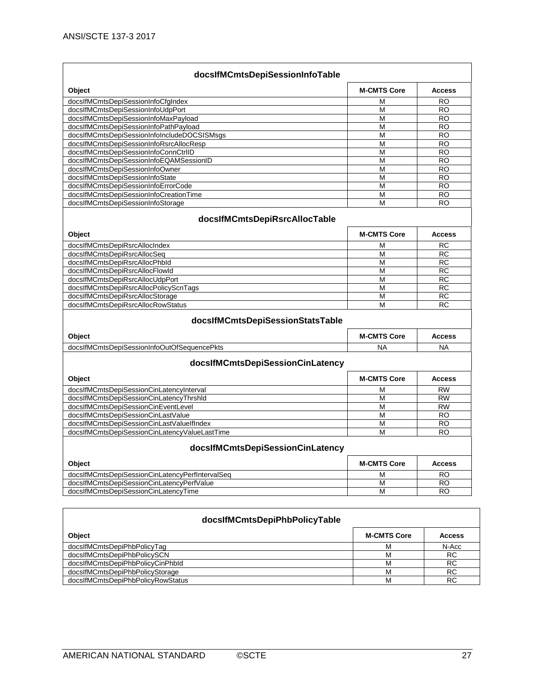| Object                                          | <b>M-CMTS Core</b>      | <b>Access</b> |
|-------------------------------------------------|-------------------------|---------------|
| docsIfMCmtsDepiSessionInfoCfgIndex              | м                       | <b>RO</b>     |
| docsIfMCmtsDepiSessionInfoUdpPort               | M                       | <b>RO</b>     |
| docsIfMCmtsDepiSessionInfoMaxPayload            | M                       | <b>RO</b>     |
| docsIfMCmtsDepiSessionInfoPathPayload           | M                       | <b>RO</b>     |
| docsIfMCmtsDepiSessionInfoIncludeDOCSISMsgs     | М                       | RO            |
| docsIfMCmtsDepiSessionInfoRsrcAllocResp         | M                       | <b>RO</b>     |
| docsIfMCmtsDepiSessionInfoConnCtrIID            | M                       | <b>RO</b>     |
| docsIfMCmtsDepiSessionInfoEQAMSessionID         | M                       | <b>RO</b>     |
| docsIfMCmtsDepiSessionInfoOwner                 | M                       | <b>RO</b>     |
| docsIfMCmtsDepiSessionInfoState                 | M                       | <b>RO</b>     |
| docsIfMCmtsDepiSessionInfoErrorCode             | M                       | <b>RO</b>     |
| docsIfMCmtsDepiSessionInfoCreationTime          | M                       | <b>RO</b>     |
| docsIfMCmtsDepiSessionInfoStorage               | M                       | <b>RO</b>     |
| docsIfMCmtsDepiRsrcAllocTable                   |                         |               |
| Object                                          | <b>M-CMTS Core</b>      | <b>Access</b> |
| docsIfMCmtsDepiRsrcAllocIndex                   | М                       | RC            |
| docsIfMCmtsDepiRsrcAllocSeq                     | M                       | <b>RC</b>     |
| docsIfMCmtsDepiRsrcAllocPhbld                   | M                       | <b>RC</b>     |
| docsIfMCmtsDepiRsrcAllocFlowId                  | M                       | <b>RC</b>     |
| docsIfMCmtsDepiRsrcAllocUdpPort                 | M                       | <b>RC</b>     |
| docsIfMCmtsDepiRsrcAllocPolicyScnTags           | М                       | <b>RC</b>     |
| docsIfMCmtsDepiRsrcAllocStorage                 | M                       | <b>RC</b>     |
| docsIfMCmtsDepiRsrcAllocRowStatus               | M                       | <b>RC</b>     |
| docsIfMCmtsDepiSessionStatsTable                |                         |               |
| Object                                          | <b>M-CMTS Core</b>      | <b>Access</b> |
| docsIfMCmtsDepiSessionInfoOutOfSequencePkts     | <b>NA</b>               | NA            |
| docsIfMCmtsDepiSessionCinLatency<br>Object      | <b>M-CMTS Core</b>      | <b>Access</b> |
| docsIfMCmtsDepiSessionCinLatencyInterval        | М                       | <b>RW</b>     |
| docsIfMCmtsDepiSessionCinLatencyThrshId         | M                       | <b>RW</b>     |
| docsIfMCmtsDepiSessionCinEventLevel             | M                       | <b>RW</b>     |
| docsIfMCmtsDepiSessionCinLastValue              | M                       | <b>RO</b>     |
| docsIfMCmtsDepiSessionCinLastValueIfIndex       | М                       | RO            |
| docsIfMCmtsDepiSessionCinLatencyValueLastTime   | M                       | RO            |
| docsIfMCmtsDepiSessionCinLatency                |                         |               |
| Object                                          | <b>M-CMTS Core</b>      | <b>Access</b> |
| docsIfMCmtsDepiSessionCinLatencyPerfIntervalSeq | M                       | <b>RO</b>     |
| docsIfMCmtsDepiSessionCinLatencyPerfValue       | $\overline{\mathsf{M}}$ | <b>RO</b>     |
| docsIfMCmtsDepiSessionCinLatencyTime            | М                       | RO            |
|                                                 |                         |               |
| docsIfMCmtsDepiPhbPolicyTable                   |                         |               |
|                                                 |                         |               |

| Googhini Shiropophi Tibi Ghoy Labio |                    |               |  |  |
|-------------------------------------|--------------------|---------------|--|--|
| <b>Object</b>                       | <b>M-CMTS Core</b> | <b>Access</b> |  |  |
| docsIfMCmtsDepiPhbPolicyTag         | м                  | N-Acc         |  |  |
| docsIfMCmtsDepiPhbPolicySCN         | м                  | RC            |  |  |
| docsIfMCmtsDepiPhbPolicyCinPhbId    | м                  | RC            |  |  |
| docsIfMCmtsDepiPhbPolicyStorage     | м                  | <b>RC</b>     |  |  |
| docsIfMCmtsDepiPhbPolicyRowStatus   | м                  | RC            |  |  |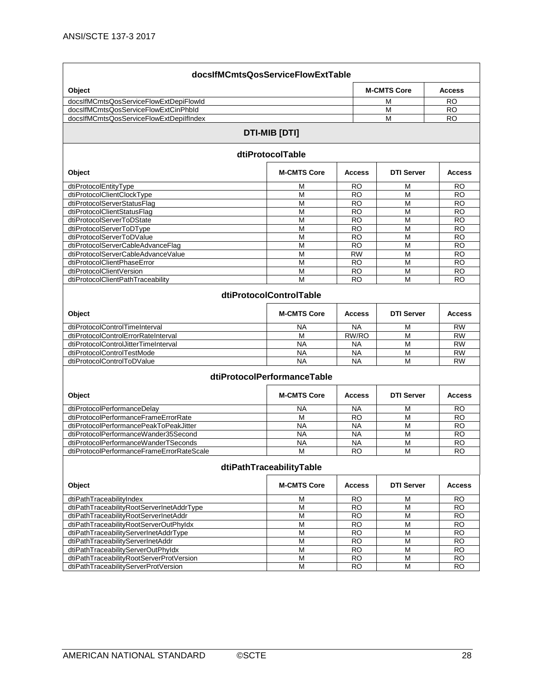| docsIfMCmtsQosServiceFlowExtTable                                                 |                             |                        |                    |                        |
|-----------------------------------------------------------------------------------|-----------------------------|------------------------|--------------------|------------------------|
| Object                                                                            |                             |                        | <b>M-CMTS Core</b> | <b>Access</b>          |
| docsIfMCmtsQosServiceFlowExtDepiFlowId                                            |                             |                        | М                  | RO                     |
| docsIfMCmtsQosServiceFlowExtCinPhbld                                              |                             |                        | M                  | <b>RO</b>              |
| docsIfMCmtsQosServiceFlowExtDepilfIndex                                           |                             |                        | М                  | RO.                    |
|                                                                                   | <b>DTI-MIB [DTI]</b>        |                        |                    |                        |
|                                                                                   | dtiProtocolTable            |                        |                    |                        |
| Object                                                                            | <b>M-CMTS Core</b>          | <b>Access</b>          | <b>DTI Server</b>  | <b>Access</b>          |
| dtiProtocolEntityType                                                             | м                           | <b>RO</b>              | м                  | RO                     |
| dtiProtocolClientClockType                                                        | M                           | <b>RO</b>              | M                  | <b>RO</b>              |
| dtiProtocolServerStatusFlag                                                       | M                           | <b>RO</b>              | M                  | <b>RO</b>              |
| dtiProtocolClientStatusFlag                                                       | M                           | <b>RO</b>              | M                  | <b>RO</b>              |
| dtiProtocolServerToDState                                                         | M                           | <b>RO</b>              | M                  | <b>RO</b>              |
| dtiProtocolServerToDType                                                          | M<br>M                      | <b>RO</b>              | M<br>M             | RO                     |
| dtiProtocolServerToDValue<br>dtiProtocolServerCableAdvanceFlag                    | M                           | <b>RO</b><br><b>RO</b> | M                  | <b>RO</b><br><b>RO</b> |
| dtiProtocolServerCableAdvanceValue                                                | M                           | <b>RW</b>              | M                  | <b>RO</b>              |
| dtiProtocolClientPhaseError                                                       | M                           | <b>RO</b>              | M                  | <b>RO</b>              |
| dtiProtocolClientVersion                                                          | M                           | RO                     | M                  | <b>RO</b>              |
| dtiProtocolClientPathTraceability                                                 | M                           | RO                     | M                  | RO                     |
|                                                                                   | dtiProtocolControlTable     |                        |                    |                        |
| Object                                                                            | <b>M-CMTS Core</b>          | <b>Access</b>          | <b>DTI Server</b>  | <b>Access</b>          |
| dtiProtocolControlTimeInterval                                                    | NA                          | <b>NA</b>              | М                  | <b>RW</b>              |
| dtiProtocolControlErrorRateInterval                                               | M                           | RW/RO                  | M                  | <b>RW</b>              |
| dtiProtocolControlJitterTimeInterval                                              | NA                          | <b>NA</b>              | М                  | <b>RW</b>              |
| dtiProtocolControlTestMode<br>dtiProtocolControlToDValue                          | <b>NA</b>                   | <b>NA</b>              | M                  | <b>RW</b>              |
|                                                                                   | <b>NA</b>                   | <b>NA</b>              | M                  | <b>RW</b>              |
|                                                                                   | dtiProtocolPerformanceTable |                        |                    |                        |
| Object                                                                            | <b>M-CMTS Core</b>          | <b>Access</b>          | <b>DTI Server</b>  | <b>Access</b>          |
| dtiProtocolPerformanceDelay                                                       | ΝA                          | NA                     | M                  | RO                     |
| dtiProtocolPerformanceFrameErrorRate                                              | М                           | <b>RO</b>              | M                  | RO                     |
| dtiProtocolPerformancePeakToPeakJitter                                            | <b>NA</b>                   | <b>NA</b>              | M                  | <b>RO</b>              |
| dtiProtocolPerformanceWander35Second                                              | <b>NA</b>                   | <b>NA</b>              | M                  | <b>RO</b>              |
| dtiProtocolPerformanceWanderTSeconds<br>dtiProtocolPerformanceFrameErrorRateScale | <b>NA</b><br>M              | NA<br><b>RO</b>        | M<br>M             | RO<br>RO               |
|                                                                                   |                             |                        |                    |                        |
|                                                                                   | dtiPathTraceabilityTable    |                        |                    |                        |
| Object                                                                            | <b>M-CMTS Core</b>          | <b>Access</b>          | <b>DTI Server</b>  | <b>Access</b>          |
| dtiPathTraceabilityIndex                                                          | M                           | <b>RO</b>              | M                  | <b>RO</b>              |
| dtiPathTraceabilityRootServerInetAddrType                                         | M                           | <b>RO</b>              | M                  | <b>RO</b>              |
| dtiPathTraceabilityRootServerInetAddr                                             | M                           | <b>RO</b>              | M                  | RO.                    |
| dtiPathTraceabilityRootServerOutPhyIdx                                            | M                           | <b>RO</b>              | M                  | <b>RO</b>              |
| dtiPathTraceabilityServerInetAddrType<br>dtiPathTraceabilityServerInetAddr        | M<br>M                      | <b>RO</b><br><b>RO</b> | M<br>M             | <b>RO</b><br><b>RO</b> |
| dtiPathTraceabilityServerOutPhyIdx                                                | M                           | <b>RO</b>              | M                  | <b>RO</b>              |
| dtiPathTraceabilityRootServerProtVersion                                          | M                           | <b>RO</b>              | M                  | <b>RO</b>              |
| dtiPathTraceabilityServerProtVersion                                              | M                           | <b>RO</b>              | M                  | $\overline{RO}$        |
|                                                                                   |                             |                        |                    |                        |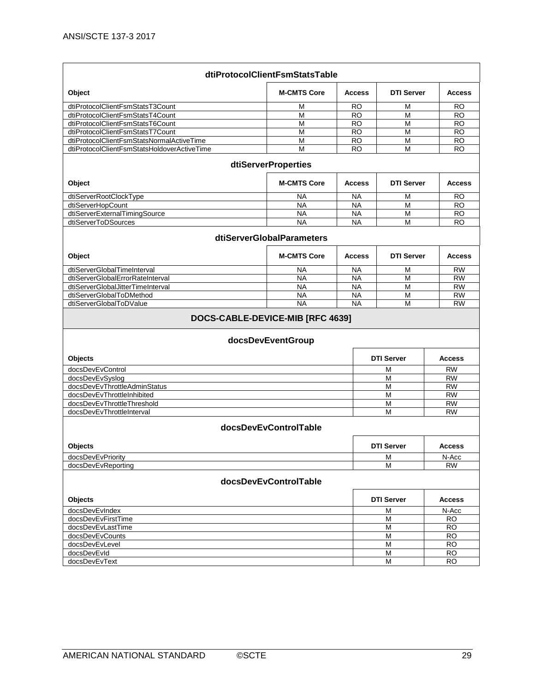|                                             | dtiProtocolClientFsmStatsTable                        |               |                   |               |
|---------------------------------------------|-------------------------------------------------------|---------------|-------------------|---------------|
| Object                                      | <b>M-CMTS Core</b>                                    | <b>Access</b> | <b>DTI Server</b> | <b>Access</b> |
| dtiProtocolClientFsmStatsT3Count            | М                                                     | RO            | M                 | RO            |
| dtiProtocolClientFsmStatsT4Count            | M                                                     | <b>RO</b>     | M                 | <b>RO</b>     |
| dtiProtocolClientFsmStatsT6Count            | M                                                     | <b>RO</b>     | М                 | <b>RO</b>     |
| dtiProtocolClientFsmStatsT7Count            | M                                                     | <b>RO</b>     | M                 | <b>RO</b>     |
| dtiProtocolClientFsmStatsNormalActiveTime   | M                                                     | <b>RO</b>     | M                 | <b>RO</b>     |
| dtiProtocolClientFsmStatsHoldoverActiveTime | M                                                     | <b>RO</b>     | M                 | RO            |
|                                             | <b>dtiServerProperties</b>                            |               |                   |               |
| Object                                      | <b>M-CMTS Core</b>                                    | <b>Access</b> | <b>DTI Server</b> | <b>Access</b> |
| dtiServerRootClockType                      | <b>NA</b>                                             | <b>NA</b>     | M                 | RO            |
| dtiServerHopCount                           | <b>NA</b>                                             | <b>NA</b>     | M                 | <b>RO</b>     |
| dtiServerExternalTimingSource               | <b>NA</b>                                             | <b>NA</b>     | M                 | <b>RO</b>     |
| dtiServerToDSources                         | <b>NA</b>                                             | <b>NA</b>     | M                 | <b>RO</b>     |
|                                             | dtiServerGlobalParameters                             |               |                   |               |
| Object                                      | <b>M-CMTS Core</b>                                    | <b>Access</b> | <b>DTI Server</b> | <b>Access</b> |
| dtiServerGlobalTimeInterval                 | NA                                                    | <b>NA</b>     | M                 | <b>RW</b>     |
| dtiServerGlobalErrorRateInterval            | <b>NA</b>                                             | <b>NA</b>     | M                 | <b>RW</b>     |
| dtiServerGlobalJitterTimeInterval           | <b>NA</b>                                             | <b>NA</b>     | M                 | <b>RW</b>     |
| dtiServerGlobalToDMethod                    | <b>NA</b>                                             | NA            | M                 | <b>RW</b>     |
| dtiServerGlobalToDValue                     | <b>NA</b>                                             | <b>NA</b>     | M                 | <b>RW</b>     |
|                                             | DOCS-CABLE-DEVICE-MIB [RFC 4639]<br>docsDevEventGroup |               |                   |               |
| Objects                                     |                                                       |               | <b>DTI Server</b> | <b>Access</b> |
| docsDevEvControl                            |                                                       |               | М                 | <b>RW</b>     |
| docsDevEvSyslog                             |                                                       |               | M                 | <b>RW</b>     |
| docsDevEvThrottleAdminStatus                |                                                       |               | M                 | <b>RW</b>     |
| docsDevEvThrottleInhibited                  |                                                       |               | М                 | <b>RW</b>     |
| docsDevEvThrottleThreshold                  |                                                       |               | M                 | <b>RW</b>     |
| docsDevEvThrottleInterval                   |                                                       |               | М                 | <b>RW</b>     |
|                                             | docsDevEvControlTable                                 |               |                   |               |
| Objects                                     |                                                       |               | <b>DTI Server</b> | Access        |
| docsDevEvPriority                           |                                                       |               | M                 | N-Acc         |
| docsDevEvReporting                          |                                                       |               | М                 | <b>RW</b>     |
|                                             | docsDevEvControlTable                                 |               |                   |               |
| Objects                                     |                                                       |               | <b>DTI Server</b> | <b>Access</b> |
| docsDevEvIndex                              |                                                       |               | М                 | N-Acc         |
| docsDevEvFirstTime                          |                                                       |               | M                 | <b>RO</b>     |
| docsDevEvLastTime                           |                                                       |               | M                 | <b>RO</b>     |
| docsDevEvCounts                             |                                                       |               | M                 | <b>RO</b>     |
| docsDevEvLevel                              |                                                       |               | M                 | <b>RO</b>     |
| docsDevEvId                                 |                                                       |               | М                 | <b>RO</b>     |
| docsDevEvText                               |                                                       |               | М                 | RO            |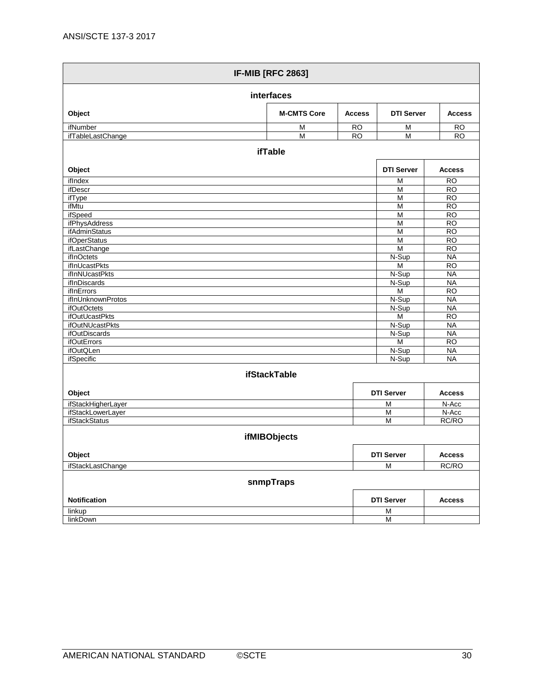| <b>IF-MIB [RFC 2863]</b>                  |                     |               |                         |                        |  |
|-------------------------------------------|---------------------|---------------|-------------------------|------------------------|--|
| interfaces                                |                     |               |                         |                        |  |
| Object                                    | <b>M-CMTS Core</b>  | <b>Access</b> | <b>DTI Server</b>       | <b>Access</b>          |  |
| ifNumber                                  | M                   | <b>RO</b>     | M                       | <b>RO</b>              |  |
| ifTableLastChange                         | $\overline{M}$      | RO            | M                       | <b>RO</b>              |  |
|                                           | <b>ifTable</b>      |               |                         |                        |  |
| Object                                    |                     |               | <b>DTI Server</b>       | <b>Access</b>          |  |
| ifIndex                                   |                     |               | M                       | <b>RO</b>              |  |
| ifDescr                                   |                     |               | M                       | <b>RO</b>              |  |
| ifType                                    |                     |               | M                       | <b>RO</b>              |  |
| ifMtu                                     |                     |               | M                       | $\overline{RO}$        |  |
| ifSpeed                                   |                     |               | $\overline{\mathsf{M}}$ | <b>RO</b>              |  |
| ifPhysAddress                             |                     |               | M                       | <b>RO</b>              |  |
| ifAdminStatus                             |                     |               | M                       | <b>RO</b>              |  |
| <i>ifOperStatus</i>                       |                     |               | M                       | <b>RO</b>              |  |
| ifLastChange                              |                     |               | M                       | $\overline{RO}$        |  |
| ifInOctets                                |                     |               | N-Sup                   | <b>NA</b>              |  |
| ifInUcastPkts                             |                     |               | M                       | <b>RO</b>              |  |
| <i>ifInNUcastPkts</i>                     |                     |               | N-Sup                   | <b>NA</b>              |  |
| ifInDiscards                              |                     |               | N-Sup                   | <b>NA</b>              |  |
| <b>ifInErrors</b>                         |                     |               | M                       | $\overline{RO}$        |  |
| ifInUnknownProtos                         |                     |               | N-Sup                   | <b>NA</b><br><b>NA</b> |  |
| ifOutOctets<br>ifOutUcastPkts             |                     |               | N-Sup<br>M              | $\overline{RO}$        |  |
| ifOutNUcastPkts                           |                     |               | N-Sup                   | <b>NA</b>              |  |
| <i>ifOutDiscards</i>                      |                     |               | N-Sup                   | <b>NA</b>              |  |
| <b>ifOutErrors</b>                        |                     |               | M                       | <b>RO</b>              |  |
| <i>ifOutQLen</i>                          |                     |               | N-Sup                   | <b>NA</b>              |  |
| ifSpecific                                |                     |               | N-Sup                   | <b>NA</b>              |  |
|                                           |                     |               |                         |                        |  |
|                                           | <b>ifStackTable</b> |               |                         |                        |  |
| Object                                    |                     |               | <b>DTI Server</b>       | <b>Access</b>          |  |
| ifStackHigherLayer                        |                     |               | M                       | N-Acc                  |  |
| ifStackLowerLayer<br><b>ifStackStatus</b> |                     |               | M<br>$\overline{M}$     | N-Acc<br>RC/RO         |  |
|                                           |                     |               |                         |                        |  |
| ifMIBObjects                              |                     |               |                         |                        |  |
| Object                                    |                     |               | <b>DTI Server</b>       | <b>Access</b>          |  |
| ifStackLastChange                         |                     |               | M                       | RC/RO                  |  |
|                                           | snmpTraps           |               |                         |                        |  |
| Notification                              |                     |               | <b>DTI Server</b>       | <b>Access</b>          |  |
| linkup                                    |                     |               | M                       |                        |  |
| linkDown                                  |                     |               | M                       |                        |  |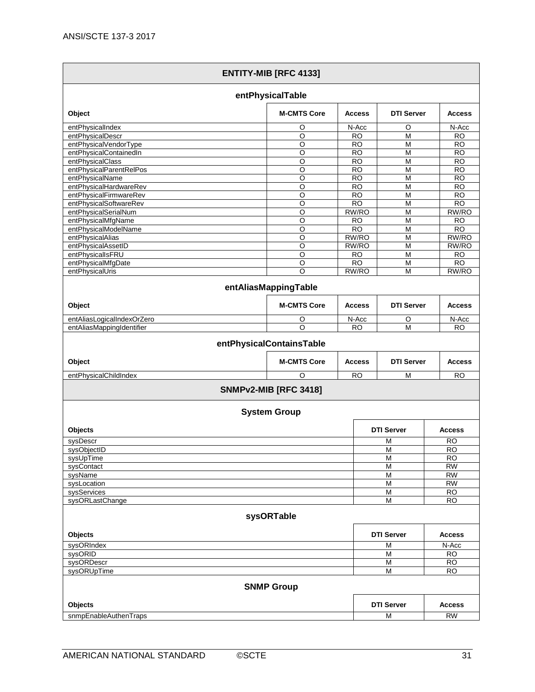|                                            | <b>ENTITY-MIB [RFC 4133]</b> |                        |                         |                        |
|--------------------------------------------|------------------------------|------------------------|-------------------------|------------------------|
|                                            | entPhysicalTable             |                        |                         |                        |
| Object                                     | <b>M-CMTS Core</b>           | <b>Access</b>          | <b>DTI Server</b>       | <b>Access</b>          |
| entPhysicalIndex                           | O                            | N-Acc                  | O                       | N-Acc                  |
| entPhysicalDescr                           | $\overline{\circ}$           | <b>RO</b>              | $\overline{M}$          | <b>RO</b>              |
| entPhysicalVendorType                      | $\overline{\circ}$           | <b>RO</b>              | M                       | <b>RO</b>              |
| entPhysicalContainedIn                     | O                            | RO.                    | M                       | <b>RO</b>              |
| entPhysicalClass                           | O                            | <b>RO</b>              | M                       | <b>RO</b>              |
| entPhysicalParentRelPos                    | O                            | <b>RO</b>              | M                       | <b>RO</b>              |
| entPhysicalName                            | O                            | <b>RO</b>              | M                       | <b>RO</b>              |
| entPhysicalHardwareRev                     | $\circ$                      | <b>RO</b>              | M                       | <b>RO</b>              |
| entPhysicalFirmwareRev                     | O                            | <b>RO</b>              | M                       | RO                     |
| entPhysicalSoftwareRev                     | O                            | $\overline{RO}$        | $\overline{M}$          | $\overline{RO}$        |
| entPhysicalSerialNum                       | $\overline{O}$               | RW/RO                  | M                       | RW/RO                  |
| entPhysicalMfgName<br>entPhysicalModelName | $\circ$<br>$\circ$           | <b>RO</b><br><b>RO</b> | M<br>M                  | <b>RO</b><br><b>RO</b> |
| entPhysicalAlias                           | O                            | RW/RO                  | M                       | RW/RO                  |
| entPhysicalAssetID                         | $\overline{\circ}$           | RW/RO                  | $\overline{\mathsf{M}}$ | RW/RO                  |
| entPhysicalIsFRU                           | $\overline{\circ}$           | <b>RO</b>              | $\overline{\mathsf{M}}$ | <b>RO</b>              |
| entPhysicalMfgDate                         | O                            | <b>RO</b>              | M                       | <b>RO</b>              |
| entPhysicalUris                            | $\circ$                      | RW/RO                  | M                       | RW/RO                  |
|                                            | entAliasMappingTable         |                        |                         |                        |
|                                            |                              |                        |                         |                        |
| Object                                     | <b>M-CMTS Core</b>           | <b>Access</b>          | <b>DTI Server</b>       | <b>Access</b>          |
| entAliasLogicalIndexOrZero                 | O                            | N-Acc                  | O                       | N-Acc                  |
| entAliasMappingIdentifier                  | O                            | <b>RO</b>              | M                       | <b>RO</b>              |
|                                            | entPhysicalContainsTable     |                        |                         |                        |
| Object                                     | <b>M-CMTS Core</b>           | <b>Access</b>          | <b>DTI Server</b>       | <b>Access</b>          |
| entPhysicalChildIndex                      | O                            | <b>RO</b>              | M                       | <b>RO</b>              |
|                                            | <b>SNMPv2-MIB [RFC 3418]</b> |                        |                         |                        |
|                                            | <b>System Group</b>          |                        |                         |                        |
| Objects                                    |                              |                        | <b>DTI Server</b>       | <b>Access</b>          |
|                                            |                              |                        |                         |                        |
| sysDescr                                   |                              |                        | M                       | <b>RO</b>              |
| sysObjectID                                |                              |                        | $\overline{M}$          | R <sub>O</sub>         |
| sysUpTime                                  |                              |                        | M                       | <b>RO</b>              |
| sysContact<br>sysName                      |                              |                        | M<br>M                  | <b>RW</b><br><b>RW</b> |
| sysLocation                                |                              |                        | M                       | <b>RW</b>              |
| sysServices                                |                              |                        | M                       | $\overline{RO}$        |
| sysORLastChange                            |                              |                        | M                       | <b>RO</b>              |
|                                            |                              |                        |                         |                        |
|                                            | sysORTable                   |                        |                         |                        |
| Objects                                    |                              |                        | <b>DTI Server</b>       | <b>Access</b>          |
| sysORIndex                                 |                              |                        | M                       | N-Acc                  |
| sysORID                                    |                              |                        | M                       | <b>RO</b>              |
| sysORDescr                                 |                              |                        | M                       | <b>RO</b>              |
| sysORUpTime                                |                              |                        | M                       | $\overline{RO}$        |
|                                            | <b>SNMP Group</b>            |                        |                         |                        |
| Objects                                    |                              |                        | <b>DTI Server</b>       | <b>Access</b>          |
| snmpEnableAuthenTraps                      |                              |                        | M                       | <b>RW</b>              |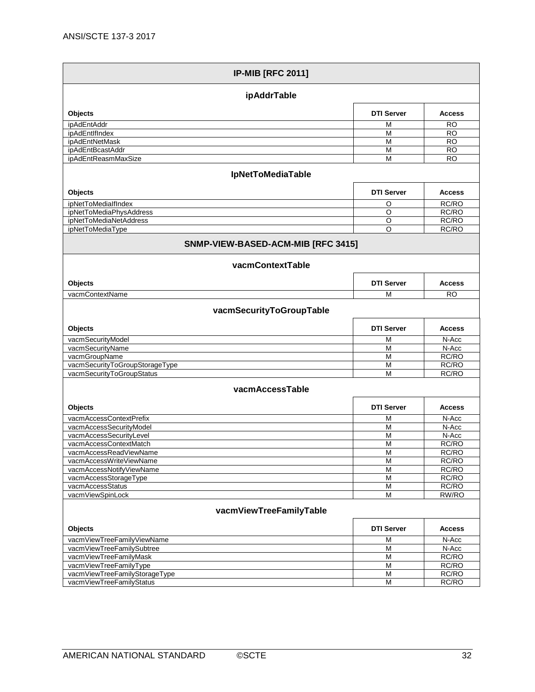| <b>IP-MIB [RFC 2011]</b>                                    |                    |                |  |
|-------------------------------------------------------------|--------------------|----------------|--|
| ipAddrTable                                                 |                    |                |  |
| Objects                                                     | <b>DTI Server</b>  | <b>Access</b>  |  |
| ipAdEntAddr                                                 | M                  | <b>RO</b>      |  |
| ipAdEntIfIndex                                              | M                  | <b>RO</b>      |  |
| ipAdEntNetMask                                              | M                  | <b>RO</b>      |  |
| ipAdEntBcastAddr                                            | M                  | <b>RO</b>      |  |
| ipAdEntReasmMaxSize                                         | M                  | <b>RO</b>      |  |
| <b>IpNetToMediaTable</b>                                    |                    |                |  |
| Objects                                                     | <b>DTI Server</b>  | <b>Access</b>  |  |
| ipNetToMedialfIndex                                         | O                  | RC/RO          |  |
| ipNetToMediaPhysAddress                                     | $\overline{\circ}$ | RC/RO          |  |
| ipNetToMediaNetAddress                                      | O                  | RC/RO          |  |
| ipNetToMediaType                                            | O                  | RC/RO          |  |
| SNMP-VIEW-BASED-ACM-MIB [RFC 3415]                          |                    |                |  |
| vacmContextTable                                            |                    |                |  |
| Objects                                                     | <b>DTI Server</b>  | <b>Access</b>  |  |
| vacmContextName                                             | M                  | <b>RO</b>      |  |
| vacmSecurityToGroupTable                                    |                    |                |  |
| Objects                                                     | <b>DTI Server</b>  | <b>Access</b>  |  |
| vacmSecurityModel                                           | М                  | N-Acc          |  |
| vacmSecurityName                                            | M                  | N-Acc          |  |
| vacmGroupName                                               | M                  | RC/RO          |  |
| vacmSecurityToGroupStorageType<br>vacmSecurityToGroupStatus | M<br>M             | RC/RO<br>RC/RO |  |
| vacmAccessTable                                             |                    |                |  |
| Objects                                                     | <b>DTI Server</b>  | <b>Access</b>  |  |
| vacmAccessContextPrefix                                     | М                  | N-Acc          |  |
| vacmAccessSecurityModel                                     | M                  | N-Acc          |  |
| vacmAccessSecurityLevel                                     | М                  | N-Acc          |  |
| vacmAccessContextMatch                                      | M                  | RC/RO          |  |
| vacmAccessReadViewName                                      | M                  | RC/RO          |  |
| vacmAccessWriteViewName                                     | M                  | RC/RO          |  |
| vacmAccessNotifyViewName                                    | M                  | RC/RO          |  |
| vacmAccessStorageType                                       | М<br>M             | RC/RO          |  |
| vacmAccessStatus<br>vacmViewSpinLock                        | M                  | RC/RO<br>RW/RO |  |
| vacmViewTreeFamilyTable                                     |                    |                |  |
| Objects                                                     | <b>DTI Server</b>  | <b>Access</b>  |  |
| vacmViewTreeFamilyViewName                                  | M                  | N-Acc          |  |
| vacmViewTreeFamilySubtree                                   | M                  | N-Acc          |  |
| vacmViewTreeFamilyMask                                      | M                  | RC/RO          |  |
| vacmViewTreeFamilyType                                      | M                  | RC/RO          |  |
| vacmViewTreeFamilyStorageType                               | M                  | RC/RO          |  |
| vacmViewTreeFamilyStatus                                    | M                  | RC/RO          |  |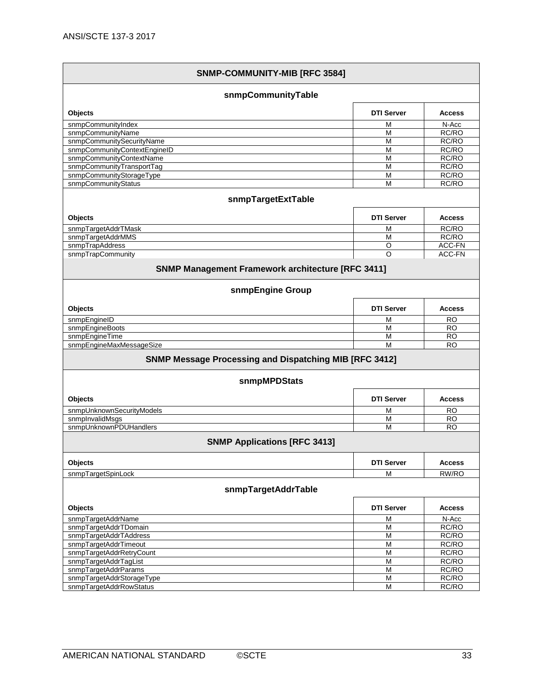| SNMP-COMMUNITY-MIB [RFC 3584]                                 |                   |                |  |  |
|---------------------------------------------------------------|-------------------|----------------|--|--|
| snmpCommunityTable                                            |                   |                |  |  |
| Objects                                                       | <b>DTI Server</b> | <b>Access</b>  |  |  |
| snmpCommunityIndex                                            | м                 | N-Acc          |  |  |
| snmpCommunityName                                             | M                 | RC/RO          |  |  |
| snmpCommunitySecurityName                                     | M                 | RC/RO          |  |  |
| snmpCommunityContextEngineID                                  | M                 | RC/RO          |  |  |
| snmpCommunityContextName                                      | M                 | RC/RO          |  |  |
| snmpCommunityTransportTag                                     | M                 | RC/RO          |  |  |
| snmpCommunityStorageType                                      | M                 | RC/RO          |  |  |
| snmpCommunityStatus                                           | М                 | RC/RO          |  |  |
| snmpTargetExtTable                                            |                   |                |  |  |
| Objects                                                       | <b>DTI Server</b> | <b>Access</b>  |  |  |
| snmpTargetAddrTMask                                           | M                 | RC/RO          |  |  |
| snmpTargetAddrMMS                                             | M                 | RC/RO          |  |  |
| snmpTrapAddress                                               | O                 | ACC-FN         |  |  |
| snmpTrapCommunity                                             | O                 | ACC-FN         |  |  |
| <b>SNMP Management Framework architecture [RFC 3411]</b>      |                   |                |  |  |
| snmpEngine Group                                              |                   |                |  |  |
| Objects                                                       | <b>DTI Server</b> | <b>Access</b>  |  |  |
| snmpEngineID                                                  | М                 | <b>RO</b>      |  |  |
| snmpEngineBoots                                               | M                 | <b>RO</b>      |  |  |
| snmpEngineTime                                                | M                 | <b>RO</b>      |  |  |
| snmpEngineMaxMessageSize                                      | M                 | <b>RO</b>      |  |  |
| <b>SNMP Message Processing and Dispatching MIB [RFC 3412]</b> |                   |                |  |  |
| snmpMPDStats                                                  |                   |                |  |  |
| Objects                                                       | <b>DTI Server</b> | <b>Access</b>  |  |  |
| snmpUnknownSecurityModels                                     | М                 | <b>RO</b>      |  |  |
| snmplnvalidMsgs                                               | M                 | RO             |  |  |
| snmpUnknownPDUHandlers                                        | M                 | RO             |  |  |
| <b>SNMP Applications [RFC 3413]</b>                           |                   |                |  |  |
| Objects                                                       | <b>DTI Server</b> | <b>Access</b>  |  |  |
| snmpTargetSpinLock                                            | M                 | RW/RO          |  |  |
| snmpTargetAddrTable                                           |                   |                |  |  |
| Objects                                                       | <b>DTI Server</b> | <b>Access</b>  |  |  |
| snmpTargetAddrName                                            | M                 | N-Acc          |  |  |
| snmpTargetAddrTDomain                                         | M                 | RC/RO          |  |  |
| snmpTargetAddrTAddress                                        | M                 | RC/RO          |  |  |
| snmpTargetAddrTimeout                                         | M                 | RC/RO          |  |  |
| snmpTargetAddrRetryCount                                      | M                 | RC/RO          |  |  |
| snmpTargetAddrTagList<br>snmpTargetAddrParams                 | M<br>M            | RC/RO<br>RC/RO |  |  |
| snmpTargetAddrStorageType                                     | M                 | RC/RO          |  |  |
| snmpTargetAddrRowStatus                                       | M                 | RC/RO          |  |  |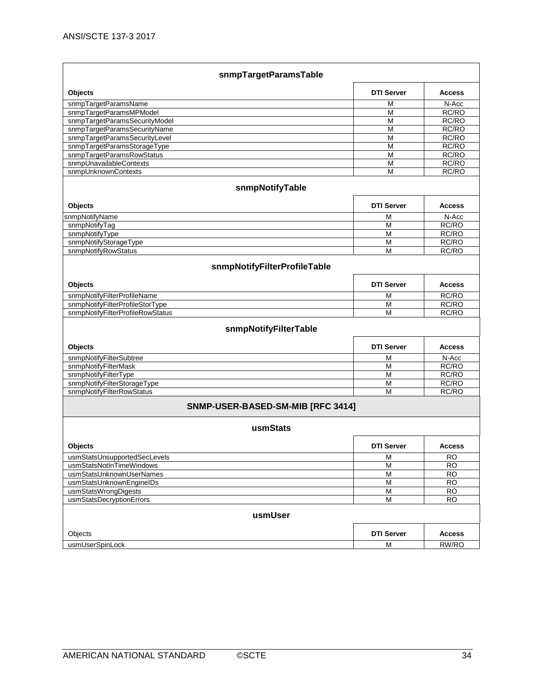| snmpTargetParamsTable             |                   |               |  |
|-----------------------------------|-------------------|---------------|--|
| Objects                           | <b>DTI Server</b> | <b>Access</b> |  |
| snmpTargetParamsName              | M                 | N-Acc         |  |
| snmpTargetParamsMPModel           | M                 | RC/RO         |  |
| snmpTargetParamsSecurityModel     | M                 | RC/RO         |  |
| snmpTargetParamsSecurityName      | M                 | RC/RO         |  |
| snmpTargetParamsSecurityLevel     | $\overline{M}$    | RC/RO         |  |
| snmpTargetParamsStorageType       | M                 | RC/RO         |  |
| snmpTargetParamsRowStatus         | M                 | RC/RO         |  |
| snmpUnavailableContexts           | M                 | RC/RO         |  |
| snmpUnknownContexts               | M                 | RC/RO         |  |
| snmpNotifyTable                   |                   |               |  |
| Objects                           | <b>DTI Server</b> | <b>Access</b> |  |
| snmpNotifyName                    | M                 | N-Acc         |  |
| snmpNotifyTag                     | M                 | RC/RO         |  |
| snmpNotifyType                    | M                 | RC/RO         |  |
| snmpNotifyStorageType             | M                 | RC/RO         |  |
| snmpNotifyRowStatus               | M                 | RC/RO         |  |
| snmpNotifyFilterProfileTable      |                   |               |  |
| Objects                           | <b>DTI Server</b> | <b>Access</b> |  |
| snmpNotifyFilterProfileName       | M                 | RC/RO         |  |
| snmpNotifyFilterProfileStorType   | M                 | RC/RO         |  |
| snmpNotifyFilterProfileRowStatus  | M                 | RC/RO         |  |
| snmpNotifyFilterTable             |                   |               |  |
| Objects                           | <b>DTI Server</b> | <b>Access</b> |  |
| snmpNotifyFilterSubtree           | M                 | N-Acc         |  |
| snmpNotifyFilterMask              | M                 | RC/RO         |  |
| snmpNotifyFilterType              | M                 | RC/RO         |  |
| snmpNotifyFilterStorageType       | M                 | RC/RO         |  |
| snmpNotifyFilterRowStatus         | M                 | RC/RO         |  |
| SNMP-USER-BASED-SM-MIB [RFC 3414] |                   |               |  |
| usmStats                          |                   |               |  |
| Objects                           | <b>DTI Server</b> | <b>Access</b> |  |
| usmStatsUnsupportedSecLevels      | M                 | <b>RO</b>     |  |
| usmStatsNotInTimeWindows          | M                 | <b>RO</b>     |  |
| usmStatsUnknownUserNames          | $\overline{M}$    | RO            |  |
| usmStatsUnknownEngineIDs          | M                 | <b>RO</b>     |  |
| usmStatsWrongDigests              | M                 | RO            |  |
| usmStatsDecryptionErrors          | $\overline{M}$    | RO            |  |
| usmUser                           |                   |               |  |
| Objects                           | <b>DTI Server</b> | <b>Access</b> |  |
| usmUserSpinLock                   | M                 | RW/RO         |  |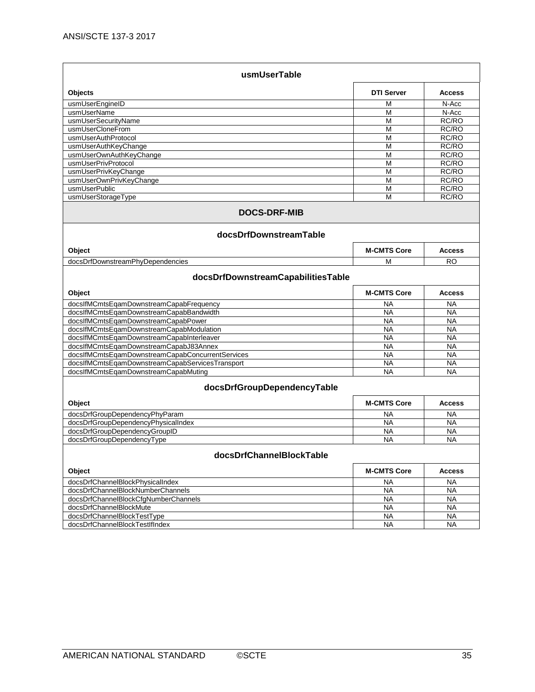| usmUserTable                                     |                    |               |  |
|--------------------------------------------------|--------------------|---------------|--|
| Objects                                          | <b>DTI Server</b>  | <b>Access</b> |  |
| usmUserEngineID                                  | М                  | N-Acc         |  |
| usmUserName                                      | М                  | N-Acc         |  |
| usmUserSecurityName                              | М                  | RC/RO         |  |
| usmUserCloneFrom                                 | M                  | RC/RO         |  |
| usmUserAuthProtocol                              | M                  | RC/RO         |  |
| usmUserAuthKeyChange                             | М                  | RC/RO         |  |
| usmUserOwnAuthKeyChange                          | M                  | RC/RO         |  |
| usmUserPrivProtocol                              | M                  | RC/RO         |  |
| usmUserPrivKeyChange                             | M                  | RC/RO         |  |
| usmUserOwnPrivKeyChange                          | M                  | RC/RO         |  |
| usmUserPublic                                    | M                  | RC/RO         |  |
| usmUserStorageType                               | M                  | RC/RO         |  |
| <b>DOCS-DRF-MIB</b><br>docsDrfDownstreamTable    |                    |               |  |
| Object                                           | <b>M-CMTS Core</b> | <b>Access</b> |  |
| docsDrfDownstreamPhyDependencies                 | М                  | <b>RO</b>     |  |
| docsDrfDownstreamCapabilitiesTable               |                    |               |  |
| Object                                           | <b>M-CMTS Core</b> | <b>Access</b> |  |
| docsIfMCmtsEqamDownstreamCapabFrequency          | NA                 | NA            |  |
| docsIfMCmtsEqamDownstreamCapabBandwidth          | <b>NA</b>          | <b>NA</b>     |  |
| docsIfMCmtsEqamDownstreamCapabPower              | <b>NA</b>          | <b>NA</b>     |  |
| docsIfMCmtsEqamDownstreamCapabModulation         | <b>NA</b>          | <b>NA</b>     |  |
| docsIfMCmtsEqamDownstreamCapabInterleaver        | <b>NA</b>          | <b>NA</b>     |  |
| docsIfMCmtsEqamDownstreamCapabJ83Annex           | <b>NA</b>          | <b>NA</b>     |  |
| docsIfMCmtsEqamDownstreamCapabConcurrentServices | <b>NA</b>          | <b>NA</b>     |  |
| docsIfMCmtsEqamDownstreamCapabServicesTransport  | <b>NA</b>          | <b>NA</b>     |  |
| docsIfMCmtsEqamDownstreamCapabMuting             | <b>NA</b>          | <b>NA</b>     |  |
| docsDrfGroupDependencyTable                      |                    |               |  |
| Object                                           | <b>M-CMTS Core</b> | <b>Access</b> |  |
| docsDrfGroupDependencyPhyParam                   | <b>NA</b>          | <b>NA</b>     |  |
| docsDrfGroupDependencyPhysicalIndex              | <b>NA</b>          | <b>NA</b>     |  |
| docsDrfGroupDependencyGroupID                    | <b>NA</b>          | <b>NA</b>     |  |
| docsDrfGroupDependencyType                       | <b>NA</b>          | <b>NA</b>     |  |
| docsDrfChannelBlockTable                         |                    |               |  |
| Object                                           | <b>M-CMTS Core</b> | <b>Access</b> |  |
| docsDrfChannelBlockPhysicalIndex                 | NA                 | <b>NA</b>     |  |
| docsDrfChannelBlockNumberChannels                | <b>NA</b>          | <b>NA</b>     |  |
| docsDrfChannelBlockCfgNumberChannels             | <b>NA</b>          | <b>NA</b>     |  |
| docsDrfChannelBlockMute                          | <b>NA</b>          | <b>NA</b>     |  |
| docsDrfChannelBlockTestType                      | <b>NA</b>          | <b>NA</b>     |  |
| docsDrfChannelBlockTestIfIndex                   | <b>NA</b>          | <b>NA</b>     |  |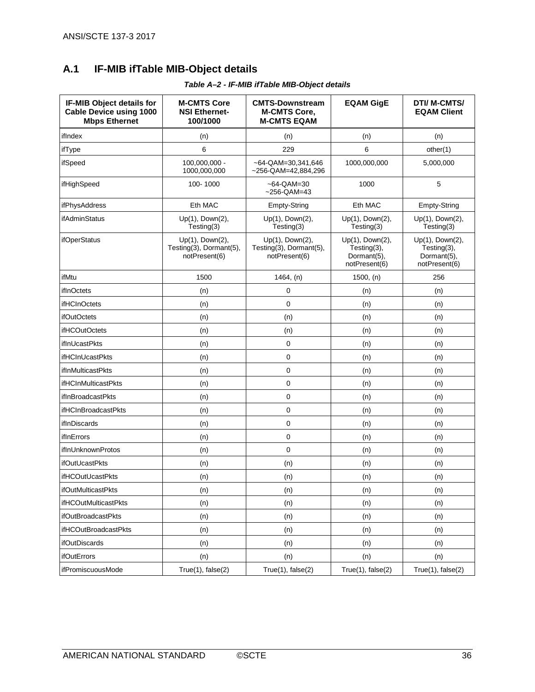## <span id="page-35-0"></span>**A.1 IF-MIB ifTable MIB-Object details**

<span id="page-35-1"></span>

| IF-MIB Object details for<br><b>Cable Device using 1000</b><br><b>Mbps Ethernet</b> | <b>M-CMTS Core</b><br><b>NSI Ethernet-</b><br>100/1000      | <b>CMTS-Downstream</b><br><b>M-CMTS Core,</b><br><b>M-CMTS EQAM</b> | <b>EQAM GigE</b>                                               | <b>DTI/ M-CMTS/</b><br><b>EQAM Client</b>                      |
|-------------------------------------------------------------------------------------|-------------------------------------------------------------|---------------------------------------------------------------------|----------------------------------------------------------------|----------------------------------------------------------------|
| ifIndex                                                                             | (n)                                                         | (n)                                                                 | (n)                                                            | (n)                                                            |
| ifType                                                                              | 6                                                           | 229                                                                 | 6                                                              | other(1)                                                       |
| ifSpeed                                                                             | 100,000,000 -<br>1000,000,000                               | $~-64$ -QAM=30,341,646<br>$-256$ -QAM=42,884,296                    | 1000,000,000                                                   | 5,000,000                                                      |
| ifHighSpeed                                                                         | 100-1000                                                    | $~-64$ -QAM=30<br>~256-QAM=43                                       | 1000                                                           | 5                                                              |
| ifPhysAddress                                                                       | Eth MAC                                                     | Empty-String                                                        | Eth MAC                                                        | Empty-String                                                   |
| ifAdminStatus                                                                       | Up(1), Down(2),<br>Testing(3)                               | Up(1), Down(2),<br>Testing(3)                                       | Up(1), Down(2),<br>Testing(3)                                  | Up(1), Down(2),<br>Testing(3)                                  |
| ifOperStatus                                                                        | Up(1), Down(2),<br>Testing(3), Dormant(5),<br>notPresent(6) | Up(1), Down(2),<br>Testing(3), Dormant(5),<br>notPresent(6)         | Up(1), Down(2),<br>Testing(3),<br>Dormant(5),<br>notPresent(6) | Up(1), Down(2),<br>Testing(3),<br>Dormant(5),<br>notPresent(6) |
| ifMtu                                                                               | 1500                                                        | 1464, (n)                                                           | 1500, (n)                                                      | 256                                                            |
| ifInOctets                                                                          | (n)                                                         | 0                                                                   | (n)                                                            | (n)                                                            |
| <b>ifHCInOctets</b>                                                                 | (n)                                                         | 0                                                                   | (n)                                                            | (n)                                                            |
| <i>ifOutOctets</i>                                                                  | (n)                                                         | (n)                                                                 | (n)                                                            | (n)                                                            |
| <b>ifHCOutOctets</b>                                                                | (n)                                                         | (n)                                                                 | (n)                                                            | (n)                                                            |
| ifInUcastPkts                                                                       | (n)                                                         | 0                                                                   | (n)                                                            | (n)                                                            |
| <b>ifHCInUcastPkts</b>                                                              | (n)                                                         | 0                                                                   | (n)                                                            | (n)                                                            |
| ifInMulticastPkts                                                                   | (n)                                                         | 0                                                                   | (n)                                                            | (n)                                                            |
| <b>ifHCInMulticastPkts</b>                                                          | (n)                                                         | 0                                                                   | (n)                                                            | (n)                                                            |
| <i>ifInBroadcastPkts</i>                                                            | (n)                                                         | 0                                                                   | (n)                                                            | (n)                                                            |
| ifHCInBroadcastPkts                                                                 | (n)                                                         | 0                                                                   | (n)                                                            | (n)                                                            |
| ifInDiscards                                                                        | (n)                                                         | 0                                                                   | (n)                                                            | (n)                                                            |
| ifInErrors                                                                          | (n)                                                         | 0                                                                   | (n)                                                            | (n)                                                            |
| ifInUnknownProtos                                                                   | (n)                                                         | 0                                                                   | (n)                                                            | (n)                                                            |
| ifOutUcastPkts                                                                      | (n)                                                         | (n)                                                                 | (n)                                                            | (n)                                                            |
| ifHCOutUcastPkts                                                                    | (n)                                                         | (n)                                                                 | (n)                                                            | (n)                                                            |
| ifOutMulticastPkts                                                                  | (n)                                                         | (n)                                                                 | (n)                                                            | (n)                                                            |
| <b>ifHCOutMulticastPkts</b>                                                         | (n)                                                         | (n)                                                                 | (n)                                                            | (n)                                                            |
| ifOutBroadcastPkts                                                                  | (n)                                                         | (n)                                                                 | (n)                                                            | (n)                                                            |
| ifHCOutBroadcastPkts                                                                | (n)                                                         | (n)                                                                 | (n)                                                            | (n)                                                            |
| <b>ifOutDiscards</b>                                                                | (n)                                                         | (n)                                                                 | (n)                                                            | (n)                                                            |
| ifOutErrors                                                                         | (n)                                                         | (n)                                                                 | (n)                                                            | (n)                                                            |
| ifPromiscuousMode                                                                   | True(1), false(2)                                           | True(1), false(2)                                                   | True(1), false(2)                                              | True(1), false(2)                                              |

*Table A–2 - IF-MIB ifTable MIB-Object details*